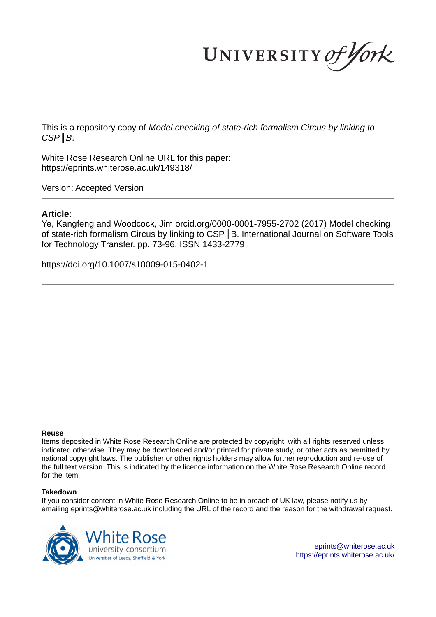UNIVERSITY of York

This is a repository copy of *Model checking of state-rich formalism Circus by linking to CSP*  $\parallel$  *B.* 

White Rose Research Online URL for this paper: https://eprints.whiterose.ac.uk/149318/

Version: Accepted Version

# **Article:**

Ye, Kangfeng and Woodcock, Jim orcid.org/0000-0001-7955-2702 (2017) Model checking of state-rich formalism Circus by linking to CSP B. International Journal on Software Tools for Technology Transfer. pp. 73-96. ISSN 1433-2779

https://doi.org/10.1007/s10009-015-0402-1

# **Reuse**

Items deposited in White Rose Research Online are protected by copyright, with all rights reserved unless indicated otherwise. They may be downloaded and/or printed for private study, or other acts as permitted by national copyright laws. The publisher or other rights holders may allow further reproduction and re-use of the full text version. This is indicated by the licence information on the White Rose Research Online record for the item.

# **Takedown**

If you consider content in White Rose Research Online to be in breach of UK law, please notify us by emailing eprints@whiterose.ac.uk including the URL of the record and the reason for the withdrawal request.



eprints@whiterose.ac.uk https://eprints.whiterose.ac.uk/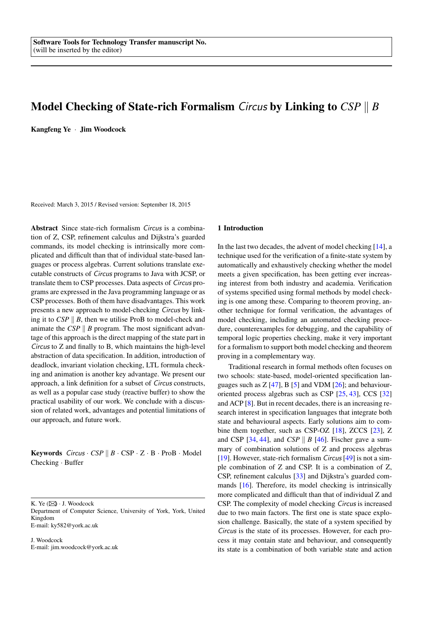# Model Checking of State-rich Formalism *Circus* by Linking to *CSP* || *B*

Kangfeng Ye · Jim Woodcock

Received: March 3, 2015 / Revised version: September 18, 2015

Abstract Since state-rich formalism Circus is a combination of Z, CSP, refinement calculus and Dijkstra's guarded commands, its model checking is intrinsically more complicated and difficult than that of individual state-based languages or process algebras. Current solutions translate executable constructs of Circus programs to Java with JCSP, or translate them to CSP processes. Data aspects of Circus programs are expressed in the Java programming language or as CSP processes. Both of them have disadvantages. This work presents a new approach to model-checking Circus by linking it to  $CSP \parallel B$ , then we utilise ProB to model-check and animate the *CSP*  $\parallel$  *B* program. The most significant advantage of this approach is the direct mapping of the state part in Circus to Z and finally to B, which maintains the high-level abstraction of data specification. In addition, introduction of deadlock, invariant violation checking, LTL formula checking and animation is another key advantage. We present our approach, a link definition for a subset of Circus constructs, as well as a popular case study (reactive buffer) to show the practical usability of our work. We conclude with a discussion of related work, advantages and potential limitations of our approach, and future work.

Keywords  $Circus \cdot CSP \parallel B \cdot CSP \cdot Z \cdot B \cdot Prob \cdot Model$ Checking · Buffer

K. Ye  $(\boxtimes) \cdot$  J. Woodcock

Department of Computer Science, University of York, York, United Kingdom E-mail: ky582@york.ac.uk

J. Woodcock E-mail: jim.woodcock@york.ac.uk

# 1 Introduction

In the last two decades, the advent of model checking [14], a technique used for the verification of a finite-state system by automatically and exhaustively checking whether the model meets a given specification, has been getting ever increasing interest from both industry and academia. Verification of systems specified using formal methods by model checking is one among these. Comparing to theorem proving, another technique for formal verification, the advantages of model checking, including an automated checking procedure, counterexamples for debugging, and the capability of temporal logic properties checking, make it very important for a formalism to support both model checking and theorem proving in a complementary way.

Traditional research in formal methods often focuses on two schools: state-based, model-oriented specification languages such as  $Z$  [47], B [5] and VDM [26]; and behaviouroriented process algebras such as CSP [25, 43], CCS [32] and ACP [8]. But in recent decades, there is an increasing research interest in specification languages that integrate both state and behavioural aspects. Early solutions aim to combine them together, such as CSP-OZ  $[18]$ , ZCCS  $[23]$ , Z and CSP  $[34, 44]$ , and CSP  $\parallel$  *B*  $[46]$ . Fischer gave a summary of combination solutions of Z and process algebras [19]. However, state-rich formalism *Circus* [49] is not a simple combination of Z and CSP. It is a combination of Z, CSP, refinement calculus [33] and Dijkstra's guarded commands [16]. Therefore, its model checking is intrinsically more complicated and difficult than that of individual Z and CSP. The complexity of model checking Circus is increased due to two main factors. The first one is state space explosion challenge. Basically, the state of a system specified by Circus is the state of its processes. However, for each process it may contain state and behaviour, and consequently its state is a combination of both variable state and action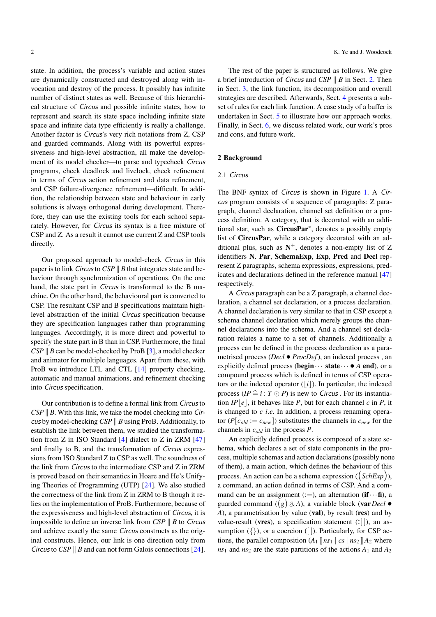state. In addition, the process's variable and action states are dynamically constructed and destroyed along with invocation and destroy of the process. It possibly has infinite number of distinct states as well. Because of this hierarchical structure of Circus and possible infinite states, how to represent and search its state space including infinite state space and infinite data type efficiently is really a challenge. Another factor is Circus's very rich notations from Z, CSP and guarded commands. Along with its powerful expressiveness and high-level abstraction, all make the development of its model checker—to parse and typecheck Circus programs, check deadlock and livelock, check refinement in terms of Circus action refinement and data refinement, and CSP failure-divergence refinement—difficult. In addition, the relationship between state and behaviour in early solutions is always orthogonal during development. Therefore, they can use the existing tools for each school separately. However, for Circus its syntax is a free mixture of CSP and Z. As a result it cannot use current Z and CSP tools directly.

Our proposed approach to model-check Circus in this paper is to link *Circus* to *CSP*  $\parallel$  *B* that integrates state and behaviour through synchronization of operations. On the one hand, the state part in *Circus* is transformed to the B machine. On the other hand, the behavioural part is converted to CSP. The resultant CSP and B specifications maintain highlevel abstraction of the initial Circus specification because they are specification languages rather than programming languages. Accordingly, it is more direct and powerful to specify the state part in B than in CSP. Furthermore, the final *CSP*  $\parallel$  *B* can be model-checked by ProB [3], a model checker and animator for multiple languages. Apart from these, with ProB we introduce LTL and CTL [14] property checking, automatic and manual animations, and refinement checking into Circus specification.

Our contribution is to define a formal link from Circus to  $CSP \parallel B$ . With this link, we take the model checking into Cir*cus* by model-checking  $CSP \parallel B$  using ProB. Additionally, to establish the link between them, we studied the transformation from Z in ISO Standard [4] dialect to Z in ZRM [47] and finally to B, and the transformation of Circus expressions from ISO Standard Z to CSP as well. The soundness of the link from Circus to the intermediate CSP and Z in ZRM is proved based on their semantics in Hoare and He's Unifying Theories of Programming (UTP) [24]. We also studied the correctness of the link from Z in ZRM to B though it relies on the implementation of ProB. Furthermore, because of the expressiveness and high-level abstraction of Circus, it is impossible to define an inverse link from  $CSP \parallel B$  to Circus and achieve exactly the same Circus constructs as the original constructs. Hence, our link is one direction only from *Circus* to *CSP*  $\parallel$  *B* and can not form Galois connections [24].

The rest of the paper is structured as follows. We give a brief introduction of *Circus* and *CSP*  $\parallel$  *B* in Sect. 2. Then in Sect. 3, the link function, its decomposition and overall strategies are described. Afterwards, Sect. 4 presents a subset of rules for each link function. A case study of a buffer is undertaken in Sect. 5 to illustrate how our approach works. Finally, in Sect. 6, we discuss related work, our work's pros and cons, and future work.

# 2 Background

# 2.1 Circus

The BNF syntax of Circus is shown in Figure 1. A Circus program consists of a sequence of paragraphs: Z paragraph, channel declaration, channel set definition or a process definition. A category, that is decorated with an additional star, such as CircusPar<sup>∗</sup>, denotes a possibly empty list of CircusPar, while a category decorated with an additional plus, such as  $N^+$ , denotes a non-empty list of Z identifiers N. Par, SchemaExp, Exp, Pred and Decl represent Z paragraphs, schema expressions, expressions, predicates and declarations defined in the reference manual [47] respectively.

A Circus paragraph can be a Z paragraph, a channel declaration, a channel set declaration, or a process declaration. A channel declaration is very similar to that in CSP except a schema channel declaration which merely groups the channel declarations into the schema. And a channel set declaration relates a name to a set of channels. Additionally a process can be defined in the process declaration as a parametrised process (*Decl* • *ProcDef*), an indexed process , an explicitly defined process (begin  $\cdots$  state  $\cdots \bullet$  *A* end), or a compound process which is defined in terms of CSP operators or the indexed operator  $(|i|)$ . In particular, the indexed process ( $IP \cong i : T \odot P$ ) is new to *Circus*. For its instantiation  $IP|e|$ , it behaves like *P*, but for each channel *c* in *P*, it is changed to *c i*.*e*. In addition, a process renaming operator  $(P[C_{old} := c_{new}])$  substitutes the channels in  $c_{new}$  for the channels in *cold* in the process *P*.

An explicitly defined process is composed of a state schema, which declares a set of state components in the process, multiple schemas and action declarations (possibly none of them), a main action, which defines the behaviour of this process. An action can be a schema expression ((*SchExp*)), a command, an action defined in terms of CSP. And a command can be an assignment (:=), an alternation (if  $\cdots$  fi), a guarded command  $((g) \& A)$ , a variable block (**var** *Decl* • *A*), a parametrisation by value (val), by result (res) and by value-result (vres), a specification statement  $(| \cdot |)$ , an assumption  $({})$ , or a coercion  $($ ]). Particularly, for CSP actions, the parallel composition  $(A_1 \| ns_1 | cs | ns_2 \| A_2)$  where  $ns<sub>1</sub>$  and  $ns<sub>2</sub>$  are the state partitions of the actions  $A<sub>1</sub>$  and  $A<sub>2</sub>$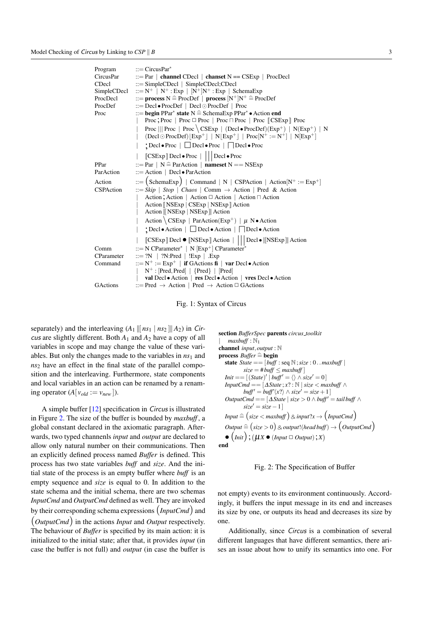| Program          | $ ::= CircusPar^*$                                                                                                                                                                                                                                                         |  |  |  |  |
|------------------|----------------------------------------------------------------------------------------------------------------------------------------------------------------------------------------------------------------------------------------------------------------------------|--|--|--|--|
| CircusPar        | $ ::= Par \mid channel$ CDecl $\mid$ chanset N = CSExp $\mid$ ProcDecl                                                                                                                                                                                                     |  |  |  |  |
| CDecl            | $ ::=$ SimpleCDecl $\mid$ SimpleCDecl; CDecl                                                                                                                                                                                                                               |  |  |  |  |
| SimpleCDecl      | $ ::= N^+   N^+ : Exp   [N^+]N^+ : Exp   SchemaExp$                                                                                                                                                                                                                        |  |  |  |  |
| ProcDecl         | ::= process $N \hat{=}$ ProcDef   process $[N^+]N^+ \hat{=}$ ProcDef                                                                                                                                                                                                       |  |  |  |  |
| ProcDef          | $ ::=$ Decl $\bullet$ ProcDef   Decl $\odot$ ProcDef   Proc                                                                                                                                                                                                                |  |  |  |  |
| Proc             | ::= begin PPar* state $N \triangleq$ SchemaExp PPar* • Action end                                                                                                                                                                                                          |  |  |  |  |
|                  | Proc; Proc   Proc □ Proc   Proc   Proc   Proc   CSExp] Proc                                                                                                                                                                                                                |  |  |  |  |
|                  | $\text{Proc }   \text{ Proc } ~\text{Proc} \setminus \text{CSExp } ~(\text{Decl}\bullet \text{ProcDef})(\text{Exp}^+)~ ~\text{N}(\text{Exp}^+)~ ~\text{N}$<br>$(Decl \odot Procl)$ [Exp <sup>+</sup> ]   N[Exp <sup>+</sup> ]   Proc $[N^+ := N^+]$   N[Exp <sup>+</sup> ] |  |  |  |  |
|                  | $\frac{1}{2}$ Decl•Proc   $\Box$ Decl•Proc   $\Box$ Decl•Proc                                                                                                                                                                                                              |  |  |  |  |
|                  | $\llbracket \text{CSExp} \rrbracket$ Decl • Proc $\mid \cdot \mid \cdot \mid$ Decl • Proc                                                                                                                                                                                  |  |  |  |  |
| PPar             | ::= Par   N $\hat{=}$ ParAction   <b>nameset</b> N = = NSExp                                                                                                                                                                                                               |  |  |  |  |
| ParAction        | $ ::=$ Action   Decl• ParAction                                                                                                                                                                                                                                            |  |  |  |  |
| Action           | ::= $(SchemaExp)$   Command   N   CSPAction   Action $[N^+ := Exp^+]$                                                                                                                                                                                                      |  |  |  |  |
| <b>CSPAction</b> | ::= Skip   Stop   Chaos   Comm $\rightarrow$ Action   Pred & Action                                                                                                                                                                                                        |  |  |  |  |
|                  | Action; Action   Action □ Action   Action □ Action                                                                                                                                                                                                                         |  |  |  |  |
|                  | Action [[NSExp   CSExp   NSExp] Action                                                                                                                                                                                                                                     |  |  |  |  |
|                  | Action    NSExp   NSExp    Action                                                                                                                                                                                                                                          |  |  |  |  |
|                  | Action $\text{CSExp}$   ParAction(Exp <sup>+</sup> )   $\mu$ N • Action                                                                                                                                                                                                    |  |  |  |  |
|                  | ; Decl • Action   Decl • Action     Decl • Action                                                                                                                                                                                                                          |  |  |  |  |
|                  | [[CSExp]] Decl ● [[NSExp]] Action       Decl •   [NSExp]   Action                                                                                                                                                                                                          |  |  |  |  |
| Comm             | $ ::= N$ CParameter*   N $[Exp^+]$ CParameter*                                                                                                                                                                                                                             |  |  |  |  |
| CParameter       | ::= ?N   ?N:Pred   !Exp   .Exp                                                                                                                                                                                                                                             |  |  |  |  |
| Command          | $ ::= N^+ := Exp^+$   if GActions fi   var Decl • Action                                                                                                                                                                                                                   |  |  |  |  |
|                  | $N^+$ : [Pred, Pred]   {Pred}   [Pred]                                                                                                                                                                                                                                     |  |  |  |  |
|                  | val Decl • Action   res Decl • Action   vres Decl • Action                                                                                                                                                                                                                 |  |  |  |  |
| GActions         | $ ::=$ Pred $ \rightarrow$ Action   Pred $ \rightarrow$ Action $\Box$ GActions                                                                                                                                                                                             |  |  |  |  |

Fig. 1: Syntax of Circus

separately) and the interleaving  $(A_1 || n s_1 | n s_2 || A_2)$  in Circus are slightly different. Both *A*<sup>1</sup> and *A*<sup>2</sup> have a copy of all variables in scope and may change the value of these variables. But only the changes made to the variables in *ns*<sup>1</sup> and *ns*<sup>2</sup> have an effect in the final state of the parallel composition and the interleaving. Furthermore, state components and local variables in an action can be renamed by a renaming operator  $(A[v_{old} := v_{new}])$ .

A simple buffer [12] specification in Circus is illustrated in Figure 2. The size of the buffer is bounded by *maxbuff* , a global constant declared in the axiomatic paragraph. Afterwards, two typed channenls *input* and *output* are declared to allow only natural number on their communications. Then an explicitly defined process named *Buffer* is defined. This process has two state variables *buff* and *size*. And the initial state of the process is an empty buffer where *buff* is an empty sequence and *size* is equal to 0. In addition to the state schema and the initial schema, there are two schemas *InputCmd* and *OutputCmd* defined as well. They are invoked by their corresponding schema expressions(*InputCmd*) and (*OutputCmd*) in the actions *Input* and *Output* respectively. The behaviour of *Buffer* is specified by its main action: it is initialized to the initial state; after that, it provides *input* (in case the buffer is not full) and *output* (in case the buffer is

section *BufferSpec* parents *circus toolkit*  $maxbuff : \mathbb{N}_1$ channel *input*,*output* : N process *Buffer*  $\hat{=}$  begin state *State* == [*buff* : seq N;*size* : 0 ..*maxbuff* |  $size = #buffer \leq maxbuffer$  $Init == [(State)' | buffer' = \langle \rangle \land size' = 0]$ *InputCmd* ==  $\lceil \Delta State : x? : \mathbb{N} \rceil$  *size* < *maxbuff* ∧  $buff' = buff'\langle x? \rangle \wedge size' = size + 1$ *OutputCmd* ==  $\Delta State \mid size > 0 \land buffer' = tail \text{buffer}$  $size' = size - 1$  $Input \cong (size *maxbuffer*) \otimes input?$ *x*  $\rightarrow (InputCmd)$  $Output \cong (size > 0) \otimes output!(head\,buffered) \rightarrow (Output)$  $\bullet$   $\bigl( \textit{Init} \bigr)$ ;  $\bigl( \mu X \bullet (\textit{Input} \sqcup \textit{Output})$ ; X) end



not empty) events to its environment continuously. Accordingly, it buffers the input message in its end and increases its size by one, or outputs its head and decreases its size by one.

Additionally, since Circus is a combination of several different languages that have different semantics, there arises an issue about how to unify its semantics into one. For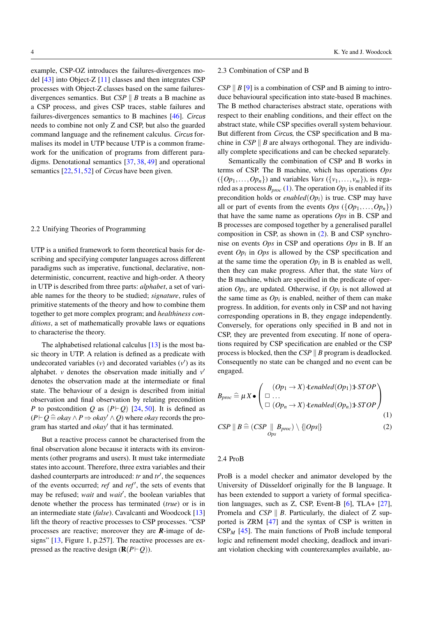example, CSP-OZ introduces the failures-divergences model [43] into Object-Z [11] classes and then integrates CSP processes with Object-Z classes based on the same failuresdivergences semantics. But *CSP*  $\parallel$  *B* treats a B machine as a CSP process, and gives CSP traces, stable failures and failures-divergences semantics to B machines [46]. Circus needs to combine not only Z and CSP, but also the guarded command language and the refinement calculus. Circus formalises its model in UTP because UTP is a common framework for the unification of programs from different paradigms. Denotational semantics [37, 38, 49] and operational semantics  $[22, 51, 52]$  of *Circus* have been given.

# 2.2 Unifying Theories of Programming

UTP is a unified framework to form theoretical basis for describing and specifying computer languages across different paradigms such as imperative, functional, declarative, nondeterministic, concurrent, reactive and high-order. A theory in UTP is described from three parts: *alphabet*, a set of variable names for the theory to be studied; *signature*, rules of primitive statements of the theory and how to combine them together to get more complex program; and *healthiness conditions*, a set of mathematically provable laws or equations to characterise the theory.

The alphabetised relational calculus [13] is the most basic theory in UTP. A relation is defined as a predicate with undecorated variables  $(v)$  and decorated variables  $(v')$  as its alphabet.  $\nu$  denotes the observation made initially and  $\nu'$ denotes the observation made at the intermediate or final state. The behaviour of a design is described from initial observation and final observation by relating precondition *P* to postcondition *Q* as (*P*⊢*Q*) [24, 50]. It is defined as  $(P\vdash Q \cong \text{okay} \land P \Rightarrow \text{okay'} \land Q)$  where *okay* records the program has started and *okay*′ that it has terminated.

But a reactive process cannot be characterised from the final observation alone because it interacts with its environments (other programs and users). It must take intermediate states into account. Therefore, three extra variables and their dashed counterparts are introduced: *tr* and *tr*′ , the sequences of the events occurred; *ref* and *ref* ′ , the sets of events that may be refused; *wait* and *wait*′ , the boolean variables that denote whether the process has terminated (*true*) or is in an intermediate state (*false*). Cavalcanti and Woodcock [13] lift the theory of reactive processes to CSP processes. "CSP processes are reactive; moreover they are *R*-image of designs" [13, Figure 1, p.257]. The reactive processes are expressed as the reactive design ( $\mathbf{R}(P \mid Q)$ ).

### 2.3 Combination of CSP and B

*CSP*  $\parallel$  *B* [9] is a combination of CSP and B aiming to introduce behavioural specification into state-based B machines. The B method characterises abstract state, operations with respect to their enabling conditions, and their effect on the abstract state, while CSP specifies overall system behaviour. But different from Circus, the CSP specification and B machine in  $CSP \parallel B$  are always orthogonal. They are individually complete specifications and can be checked separately.

Semantically the combination of CSP and B works in terms of CSP. The B machine, which has operations *Ops*  $({\lbrace Op_1, \ldots, Op_n \rbrace})$  and variables *Vars*  $({\lbrace v_1, \ldots, v_m \rbrace})$ , is regarded as a process  $B_{proc}$  (1). The operation  $Op_i$  is enabled if its precondition holds or *enabled* $(Op_i)$  is true. CSP may have all or part of events from the events  $Ops$  ( $\{Op_1, \ldots, Op_n\}$ ) that have the same name as operations *Ops* in B. CSP and B processes are composed together by a generalised parallel composition in CSP, as shown in (2). B and CSP synchronise on events *Ops* in CSP and operations *Ops* in B. If an event  $Op_i$  in  $Ops$  is allowed by the CSP specification and at the same time the operation  $Op_i$  in B is enabled as well, then they can make progress. After that, the state *Vars* of the B machine, which are specified in the predicate of operation  $Op_i$ , are updated. Otherwise, if  $Op_i$  is not allowed at the same time as  $Op_i$  is enabled, neither of them can make progress. In addition, for events only in CSP and not having corresponding operations in B, they engage independently. Conversely, for operations only specified in B and not in CSP, they are prevented from executing. If none of operations required by CSP specification are enabled or the CSP process is blocked, then the *CSP*  $\parallel$  *B* program is deadlocked. Consequently no state can be changed and no event can be engaged.

$$
B_{proc} \cong \mu X \bullet \begin{pmatrix} (Op_1 \rightarrow X) \cdot \text{enabeled}(Op_1) \cdot \text{STOP} \\ \square \dots \\ \square \ (Op_n \rightarrow X) \cdot \text{enabeled}(Op_n) \cdot \text{STOP} \end{pmatrix}
$$
\n
$$
(1)
$$

$$
CSP \parallel B \cong (CSP \parallel B_{proc}) \setminus \{ |Ops| \}
$$
 (2)

2.4 ProB

ProB is a model checker and animator developed by the University of Düsseldorf originally for the B language. It has been extended to support a variety of formal specification languages, such as Z, CSP, Event-B [6], TLA+ [27], Promela and *CSP*  $\parallel$  *B*. Particularly, the dialect of Z supported is ZRM [47] and the syntax of CSP is written in  $CSP_M$  [45]. The main functions of ProB include temporal logic and refinement model checking, deadlock and invariant violation checking with counterexamples available, au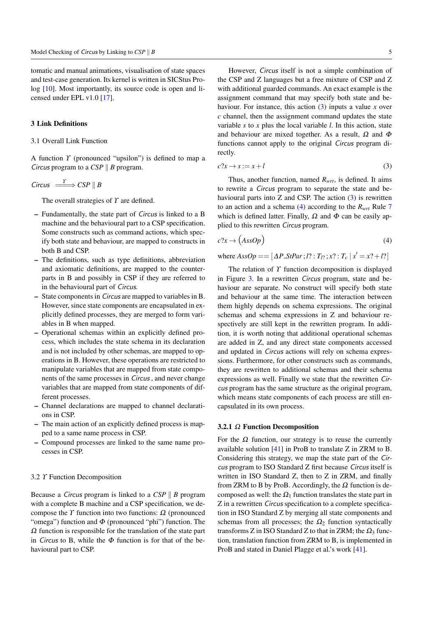tomatic and manual animations, visualisation of state spaces and test-case generation. Its kernel is written in SICStus Prolog [10]. Most importantly, its source code is open and licensed under EPL v1.0 [17].

# 3 Link Definitions

# 3.1 Overall Link Function

A function  $\Upsilon$  (pronounced "upsilon") is defined to map a Circus program to a  $CSP \parallel B$  program.

 $Circus \implies CSP \parallel B$ 

The overall strategies of  $\Upsilon$  are defined.

- Fundamentally, the state part of Circus is linked to a B machine and the behavioural part to a CSP specification. Some constructs such as command actions, which specify both state and behaviour, are mapped to constructs in both B and CSP.
- The definitions, such as type definitions, abbreviation and axiomatic definitions, are mapped to the counterparts in B and possibly in CSP if they are referred to in the behavioural part of Circus.
- State components in Circus are mapped to variables in B. However, since state components are encapsulated in explicitly defined processes, they are merged to form variables in B when mapped.
- Operational schemas within an explicitly defined process, which includes the state schema in its declaration and is not included by other schemas, are mapped to operations in B. However, these operations are restricted to manipulate variables that are mapped from state components of the same processes in Circus , and never change variables that are mapped from state components of different processes.
- Channel declarations are mapped to channel declarations in CSP.
- The main action of an explicitly defined process is mapped to a same name process in CSP.
- Compound processes are linked to the same name processes in CSP.

# 3.2 Y Function Decomposition

Because a *Circus* program is linked to a  $CSP \parallel B$  program with a complete B machine and a CSP specification, we decompose the  $γ$  function into two functions:  $Ω$  (pronounced "omega") function and  $\Phi$  (pronounced "phi") function. The  $\Omega$  function is responsible for the translation of the state part in Circus to B, while the  $\Phi$  function is for that of the behavioural part to CSP.

However, Circus itself is not a simple combination of the CSP and Z languages but a free mixture of CSP and Z with additional guarded commands. An exact example is the assignment command that may specify both state and behaviour. For instance, this action (3) inputs a value *x* over *c* channel, then the assignment command updates the state variable *s* to *x* plus the local variable *l*. In this action, state and behaviour are mixed together. As a result,  $\Omega$  and  $\Phi$ functions cannot apply to the original Circus program directly.

$$
c?x \to s := x + l \tag{3}
$$

Thus, another function, named *Rwrt*, is defined. It aims to rewrite a Circus program to separate the state and behavioural parts into  $Z$  and CSP. The action  $(3)$  is rewritten to an action and a schema (4) according to the *Rwrt* Rule 7 which is defined latter. Finally,  $\Omega$  and  $\Phi$  can be easily applied to this rewritten Circus program.

$$
c?x \to \big(AssOp\big) \tag{4}
$$

where  $AssOp = [\Delta P \_Strar{;} l? : T_{l?} : x? : T_c | s' = x? + l?]$ 

The relation of  $\Upsilon$  function decomposition is displayed in Figure 3. In a rewritten Circus program, state and behaviour are separate. No construct will specify both state and behaviour at the same time. The interaction between them highly depends on schema expressions. The original schemas and schema expressions in Z and behaviour respectively are still kept in the rewritten program. In addition, it is worth noting that additional operational schemas are added in Z, and any direct state components accessed and updated in Circus actions will rely on schema expressions. Furthermore, for other constructs such as commands, they are rewritten to additional schemas and their schema expressions as well. Finally we state that the rewritten Circus program has the same structure as the original program, which means state components of each process are still encapsulated in its own process.

#### 3.2.1 Ω Function Decomposition

For the  $\Omega$  function, our strategy is to reuse the currently available solution [41] in ProB to translate Z in ZRM to B. Considering this strategy, we map the state part of the Circus program to ISO Standard Z first because Circus itself is written in ISO Standard Z, then to Z in ZRM, and finally from ZRM to B by ProB. Accordingly, the  $\Omega$  function is decomposed as well: the  $\Omega_1$  function translates the state part in Z in a rewritten Circus specification to a complete specification in ISO Standard Z by merging all state components and schemas from all processes; the  $\Omega_2$  function syntactically transforms Z in ISO Standard Z to that in ZRM; the  $\Omega_3$  function, translation function from ZRM to B, is implemented in ProB and stated in Daniel Plagge et al.'s work [41].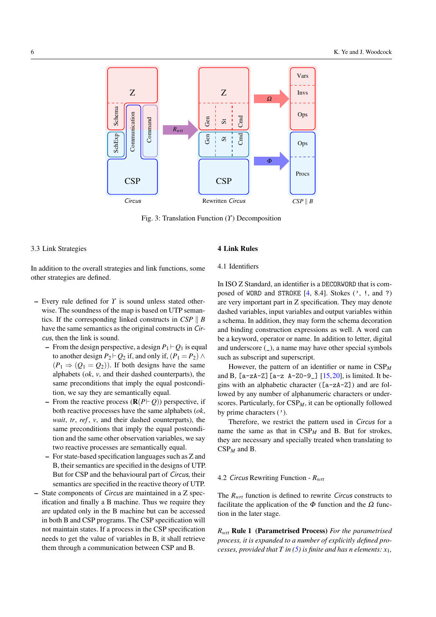

Fig. 3: Translation Function  $(Y)$  Decomposition

### 3.3 Link Strategies

In addition to the overall strategies and link functions, some other strategies are defined.

- Every rule defined for  $\Upsilon$  is sound unless stated otherwise. The soundness of the map is based on UTP semantics. If the corresponding linked constructs in  $CSP \parallel B$ have the same semantics as the original constructs in Circus, then the link is sound.
	- From the design perspective, a design  $P_1 \vdash Q_1$  is equal to another design  $P_2 \vdash Q_2$  if, and only if,  $(P_1 = P_2) \land$  $(P_1 \Rightarrow (Q_1 = Q_2))$ . If both designs have the same alphabets (*ok*, *v*, and their dashed counterparts), the same preconditions that imply the equal postcondition, we say they are semantically equal.
	- From the reactive process (R(*P*⊢*Q*)) perspective, if both reactive processes have the same alphabets (*ok*, *wait*, *tr*, *ref* , *v*, and their dashed counterparts), the same preconditions that imply the equal postcondition and the same other observation variables, we say two reactive processes are semantically equal.
	- For state-based specification languages such as Z and B, their semantics are specified in the designs of UTP. But for CSP and the behavioural part of Circus, their semantics are specified in the reactive theory of UTP.
- State components of *Circus* are maintained in a Z specification and finally a B machine. Thus we require they are updated only in the B machine but can be accessed in both B and CSP programs. The CSP specification will not maintain states. If a process in the CSP specification needs to get the value of variables in B, it shall retrieve them through a communication between CSP and B.

# 4 Link Rules

#### 4.1 Identifiers

In ISO Z Standard, an identifier is a DECORWORD that is composed of WORD and STROKE [4, 8.4]. Stokes (', !, and ?) are very important part in Z specification. They may denote dashed variables, input variables and output variables within a schema. In addition, they may form the schema decoration and binding construction expressions as well. A word can be a keyword, operator or name. In addition to letter, digital and underscore (\_), a name may have other special symbols such as subscript and superscript.

However, the pattern of an identifier or name in CSP*<sup>M</sup>* and B,  $[a-zA-Z]$   $[a-zA-Z0-9]$   $[15,20]$ , is limited. It begins with an alphabetic character ([a-zA-Z]) and are followed by any number of alphanumeric characters or underscores. Particularly, for CSP*M*, it can be optionally followed by prime characters ( $'$ ).

Therefore, we restrict the pattern used in Circus for a name the same as that in  $CSP_M$  and B. But for strokes, they are necessary and specially treated when translating to CSP*<sup>M</sup>* and B.

# 4.2 Circus Rewriting Function - *Rwrt*

The  $R<sub>wrt</sub>$  function is defined to rewrite Circus constructs to facilitate the application of the  $\Phi$  function and the  $\Omega$  function in the later stage.

*Rwrt* Rule 1 (Parametrised Process) *For the parametrised process, it is expanded to a number of explicitly defined processes, provided that T in (5) is finite and has n elements:*  $x_1$ *,*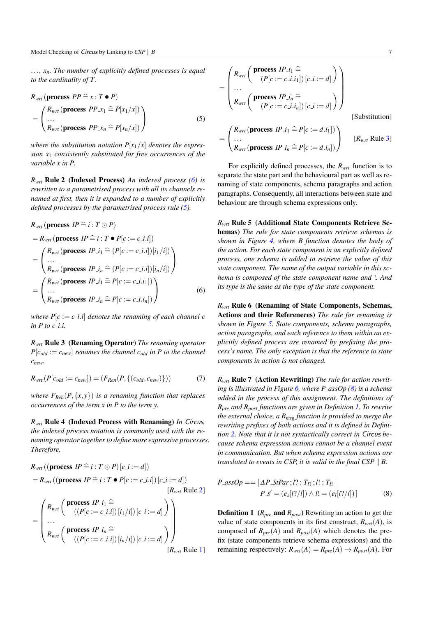...*, xn. The number of explicitly defined processes is equal to the cardinality of T.*

$$
R_{wrt} \left( \text{process } PP \cong x : T \bullet P \right)
$$
  
= 
$$
\begin{pmatrix} R_{wrt} \left( \text{process } PP.x_1 \cong P[x_1/x] \right) \\ \dots \\ R_{wrt} \left( \text{process } PP.x_n \cong P[x_n/x] \right) \end{pmatrix}
$$
 (5)

where the substitution notation  $P[x_1/x]$  *denotes the expression x*<sup>1</sup> *consistently substituted for free occurrences of the variable x in P.*

*Rwrt* Rule 2 (Indexed Process) *An indexed process (6) is rewritten to a parametrised process with all its channels renamed at first, then it is expanded to a number of explicitly defined processes by the parametrised process rule (5).*

$$
R_{wrt}(\text{process } IP \cong i : T \odot P)
$$
  
=  $R_{wrt}(\text{process } IP \cong i : T \bullet P[c := c\_i.i])$   
=  $\begin{pmatrix} R_{wrt}(\text{process } IP\_i] \cong (P[c := c\_i.i])[i_1/i]) \\ \dots \\ R_{wrt}(\text{process } IP\_i_n \cong (P[c := c\_i.i])[i_n/i]) \end{pmatrix}$   
=  $\begin{pmatrix} R_{wrt}(\text{process } IP\_i_1 \cong P[c := c\_i.i_1]) \\ \dots \\ R_{wrt}(\text{process } IP\_i_n \cong P[c := c\_i.i_n]) \end{pmatrix}$  (6)

*where*  $P[c := c_i.i]$  *denotes the renaming of each channel c*  $in P$  to  $c_i$ *i.i.* 

*Rwrt* Rule 3 (Renaming Operator) *The renaming operator*  $P[c_{old} := c_{new}]$  *renames the channel*  $c_{old}$  *in P to the channel cnew.*

$$
R_{wrt}(P[c_{old} := c_{new}]) = (F_{Ren}(P, \{(c_{old}, c_{new})\}))
$$
 (7)

*where*  $F_{Ren}(P, \{x, y\})$  *is a renaming function that replaces occurrences of the term x in P to the term y.*

*Rwrt* Rule 4 (Indexed Process with Renaming) *In* Circus*, the indexed process notation is commonly used with the renaming operator together to define more expressive processes. Therefore,*

$$
R_{wrt}((\text{process } IP \cong i : T \odot P)[c.i := d])
$$
  
=  $R_{wrt}((\text{process } IP \cong i : T \bullet P[c := c.i.i]) [c.i := d])$   

$$
[R_{wrt} \text{Rule 2}]
$$
  
=  $\begin{pmatrix} R_{wrt} \left( \text{process } IP.i_1 \cong \\ ((P[c := c.i.i]) [i_1/i]) [c.i := d] \right) \\ ... \\ R_{wrt} \left( \text{process } IP.i_n \cong \\ ((P[c := c.i.i]) [i_n/i]) [c.i := d] \right) \end{pmatrix}$   

$$
[R_{wrt} \text{Rule 1}]
$$

$$
= \begin{pmatrix} R_{wrt} \left( \begin{array}{c} \textbf{process} \; IP.i_1 \; \widehat{=} \\ (P[c := c.i.i_1]) \; [c.i := d] \end{array} \right) \\ \cdots \\ R_{wrt} \left( \begin{array}{c} \textbf{process} \; IP.i_n \; \widehat{=} \\ (P[c := c.i.i_n]) \; [c.i := d] \end{array} \right) \end{pmatrix}
$$

=

$$
\begin{pmatrix}\nR_{wrt} \left(\text{process } IP\_i_1 \cong P[c := d.i_1]\right) \\
\vdots \\
R_{wrt} \left(\text{process } IP\_i_n \cong P[c := d.i_n]\right)\n\end{pmatrix} \quad [R_{wrt} \text{ Rule 3}]
$$

For explicitly defined processes, the *Rwrt* function is to separate the state part and the behavioural part as well as renaming of state components, schema paragraphs and action paragraphs. Consequently, all interactions between state and behaviour are through schema expressions only.

*Rwrt* Rule 5 (Additional State Components Retrieve Schemas) *The rule for state components retrieve schemas is shown in Figure 4, where B function denotes the body of the action. For each state component in an explicitly defined process, one schema is added to retrieve the value of this state component. The name of the output variable in this schema is composed of the state component name and* !*. And its type is the same as the type of the state component.*

*Rwrt* Rule 6 (Renaming of State Components, Schemas, Actions and their Refereneces) *The rule for renaming is shown in Figure 5. State components, schema paragraphs, action paragraphs, and each reference to them within an explicitly defined process are renamed by prefixing the process's name. The only exception is that the reference to state components in action is not changed.*

*Rwrt* Rule 7 (Action Rewriting) *The rule for action rewriting is illustrated in Figure 6, where P assOp (8) is a schema added in the process of this assignment. The definitions of Rpre and Rpost functions are given in Definition 1. To rewrite the external choice, a Rmrg function is provided to merge the rewriting prefixes of both actions and it is defined in Definition 2. Note that it is not syntactically correct in* Circus *because schema expression actions cannot be a channel event in communication. But when schema expression actions are translated to events in CSP, it is valid in the final CSP*  $\parallel$  *B.* 

$$
P\_assOp = = [\_P\_StPar; l? : T_{l?}; l! : T_{l!} \mid
$$
  

$$
P\_s' = (e_s[l?/l]) \land l! = (e_l[l?/l])]
$$
 (8)

Definition 1 (*Rpre* and *Rpost*) Rewriting an action to get the value of state components in its first construct,  $R_{wrt}(A)$ , is composed of  $R_{pre}(A)$  and  $R_{post}(A)$  which denotes the prefix (state components retrieve schema expressions) and the remaining respectively:  $R_{wrt}(A) = R_{pre}(A) \rightarrow R_{post}(A)$ . For

[Substitution]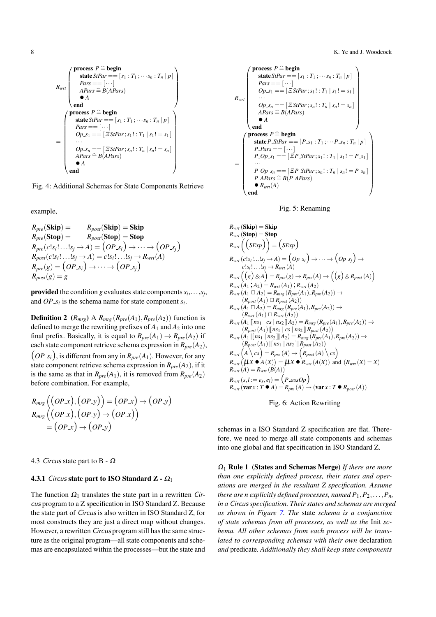| Process $P \cong$ begin                                                                 |  |
|-----------------------------------------------------------------------------------------|--|
| state $StPar = [s_1 : T_1 : \cdots s_n : T_n   p]$                                      |  |
| Pars == [-\cdots]                                                                       |  |
| APars $\cong$ B                                                                         |  |
| A                                                                                       |  |
| end                                                                                     |  |
| process $P \cong$ begin                                                                 |  |
| state $StPar = [s_1 : T_1 : \cdots s_n : T_n   p]$                                      |  |
| Pars == [-\cdots]                                                                       |  |
| Op.s <sub>1</sub> == [EstPar;s <sub>1</sub> ]: T_1   s <sub>1</sub> != s <sub>1</sub> ] |  |
| Op.s <sub>n</sub> == [EstPar;s <sub>n</sub> ]: T_n   s <sub>n</sub> != s <sub>n</sub> ] |  |
| APars $\cong$ B                                                                         |  |
| A                                                                                       |  |
| end                                                                                     |  |

Fig. 4: Additional Schemas for State Components Retrieve

example,

$$
R_{pre}(\text{Skip}) = R_{post}(\text{Skip}) = \text{Skip}
$$
  
\n
$$
R_{pre}(\text{Stop}) = R_{post}(\text{Stop}) = \text{Stop}
$$
  
\n
$$
R_{pre}(c!s_i!...!s_j \rightarrow A) = (OP.s_i) \rightarrow \cdots \rightarrow (OP.s_j)
$$
  
\n
$$
R_{post}(c!s_i!...!s_j \rightarrow A) = c!s_i!...!s_j \rightarrow R_{wrt}(A)
$$
  
\n
$$
R_{pre}(g) = (OP.s_i) \rightarrow \cdots \rightarrow (OP.s_j)
$$
  
\n
$$
R_{post}(g) = g
$$

provided the condition *g* evaluates state components  $s_i$ ,..., $s_j$ , and  $OP_{\textit{S}_i}$  is the schema name for state component  $s_i$ .

**Definition 2** ( $R_{mrg}$ ) A  $R_{mrg}$  ( $R_{pre}(A_1)$ ,  $R_{pre}(A_2)$ ) function is defined to merge the rewriting prefixes of  $A_1$  and  $A_2$  into one final prefix. Basically, it is equal to  $R_{pre}(A_1) \rightarrow R_{pre}(A_2)$  if each state component retrieve schema expression in *Rpre*(*A*2),  $(OP_{\mathcal{S}_i})$ , is different from any in  $R_{pre}(A_1)$ . However, for any state component retrieve schema expression in  $R_{pre}(A_2)$ , if it is the same as that in  $R_{pre}(A_1)$ , it is removed from  $R_{pre}(A_2)$ before combination. For example,

$$
R_{mrg} ((OP.x), (OP.y)) = (OP.x) \rightarrow (OP.y)
$$
  
\n
$$
R_{mrg} ((OP.x), (OP.y) \rightarrow (OP.x))
$$
  
\n
$$
= (OP.x) \rightarrow (OP.y)
$$

4.3 Circus state part to B -  $\Omega$ 

# 4.3.1 Circus state part to ISO Standard Z -  $\Omega_1$

The function  $\Omega_1$  translates the state part in a rewritten Circus program to a Z specification in ISO Standard Z. Because the state part of Circus is also written in ISO Standard Z, for most constructs they are just a direct map without changes. However, a rewritten Circus program still has the same structure as the original program—all state components and schemas are encapsulated within the processes—but the state and

$$
R_{wrt}
$$
\n
$$
\begin{pmatrix}\n\text{process } P \cong \text{begin} \\
\text{state } StPar == [s_1 : T_1 : \cdots s_n : T_n | p] \\
\text{Pars} == [\cdots] \\
\text{Op } s_1 == [\Xi StPar; s_1] : T_1 | s_1! = s_1] \\
\cdots \\
\text{Op } s_n == [\Xi StPar; s_n] : T_n | s_n! = s_n] \\
\text{A} \text{Pars} \cong \text{B}(APars) \\
\bullet A \\
\text{end}\n\end{pmatrix}
$$
\n
$$
P \text{process } P \cong \text{begin} \\
\text{state } P \text{ } StPar == [P \text{ } s_1 : T_1 : \cdots P \text{ } s_n : T_n | p] \\
\text{P } P \text{ } ar s == [\cdots] \\
\text{P } P \text{ } s_1 == [\Xi P \text{ } StPar; s_1] : T_1 | s_1! = P \text{ } s_1] \\
\cdots \\
\text{P } P \text{ } s_n == [\Xi P \text{ } StPar; s_n] : T_n | s_n! = P \text{ } s_n] \\
\vdots \\
\text{P } \text{ } A \text{ } Paras} \cong \text{B}(P \text{ } A \text{ } Pars)\n\end{pmatrix}
$$



$$
R_{wrt}(\text{Skip}) = \text{Skip}
$$
\n
$$
R_{wrt}(\text{Stop}) = \text{Stop}
$$
\n
$$
R_{wrt}((c!s_i!...!s_j \rightarrow A) = (Op.s_i) \rightarrow \cdots \rightarrow (Op.s_j) \rightarrow
$$
\n
$$
c!s_i!...!s_j \rightarrow R_{wrt}(A)
$$
\n
$$
R_{wrt}((g) g.A) = R_{pre}(g) \rightarrow R_{pre}(A) \rightarrow ((g) g.R_{post}(A))
$$
\n
$$
R_{wrt}(A_1; A_2) = R_{wrt}(A_1); R_{wrt}(A_2)
$$
\n
$$
R_{wrt}(A_1 \sqcup A_2) = R_{wrt}(A_1); R_{wrt}(A_2)
$$
\n
$$
R_{wrt}(A_1 \sqcup A_2) = R_{mrs}(R_{pre}(A_1), R_{pre}(A_2)) \rightarrow
$$
\n
$$
(R_{post}(A_1) \sqcup R_{post}(A_2))
$$
\n
$$
R_{wrt}(A_1 \sqcap A_2) = R_{mrs}(R_{pre}(A_1), R_{pre}(A_2)) \rightarrow
$$
\n
$$
(R_{wrt}(A_1) \sqcap R_{wrt}(A_2))
$$
\n
$$
R_{wrt}(A_1 \sqcap R_2) = R_{mrs}(R_{pre}(A_1), R_{pre}(A_2)) \rightarrow
$$
\n
$$
(R_{wrt}(A_1) \sqcap R_{wrt}(A_2))
$$
\n
$$
R_{wrt}(A_1) \sqcap s_1 | cs | ns_2 | R_{post}(A_2))
$$
\n
$$
R_{wrt}(A_1) \sqcap s_1 | ns_2 | R_{post}(A_2))
$$
\n
$$
R_{wrt}(A_1) \sqcap s_1 | ns_2 | R_{post}(A_2))
$$
\n
$$
R_{wrt}(A_1) \sqcap s_1 | ns_2 | R_{post}(A_2))
$$
\n
$$
R_{wrt}(A_1) \sqcap s_1 | ns_2 | R_{post}(A_2))
$$
\n
$$
R_{wrt}(A_1) = R_{wrt}(A_1) \rightarrow (R_{post}(A_1))
$$
\n
$$
R_{wrt}(A_1) = R_{wrt}(A_1)
$$
\n
$$
R
$$



schemas in a ISO Standard Z specification are flat. Therefore, we need to merge all state components and schemas into one global and flat specification in ISO Standard Z.

Ω<sup>1</sup> Rule 1 (States and Schemas Merge) *If there are more than one explicitly defined process, their states and operations are merged in the resultant Z specification. Assume there are n explicitly defined processes, named*  $P_1, P_2, \ldots, P_n$ *in a* Circus*specification. Their states and schemas are merged as shown in Figure 7. The* state *schema is a conjunction of state schemas from all processes, as well as the* Init *schema. All other schemas from each process will be translated to corresponding schemas with their own* declaration *and* predicate*. Additionally they shall keep state components*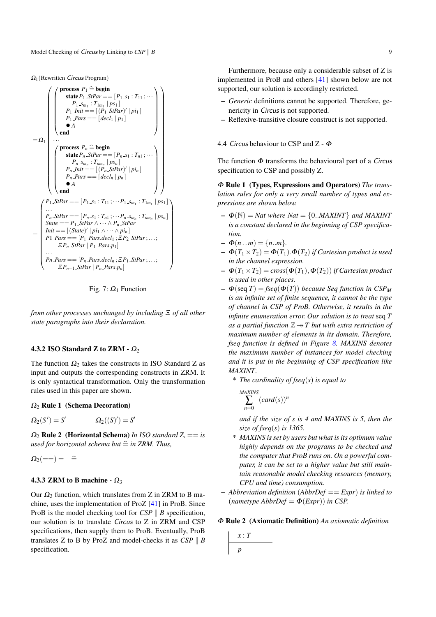#### $\Omega_1$ (Rewritten *Circus* Program)

$$
\mathbf{C}Q_{1}
$$
\n
$$
= \begin{pmatrix}\n\mathbf{P}1 \cdot \mathbf{S}1 \cdot \mathbf{S}1 \\
\mathbf{S}2 \\
\mathbf{S}3 \\
\mathbf{S}4 \\
\mathbf{S}4 \\
\mathbf{S}5 \\
\mathbf{S}7 \\
\mathbf{S}8 \\
\mathbf{S}9 \\
\mathbf{S}1 \\
\mathbf{S}1 \\
\mathbf{S}2 \\
\mathbf{S}3 \\
\mathbf{S}4 \\
\mathbf{S}4\n\end{pmatrix}\n\begin{pmatrix}\n\mathbf{P}1 \cdot \mathbf{S}m_1 : T_{1m_1} | ps_1 ] \\
P_1 \cdot \mathbf{S}m_1 : T_{1m_1} | ps_1 ] \\
P_1 \cdot \mathbf{S}m_1 = [(P_1 \cdot \mathbf{S}tPar)' | pi_1 ] \\
P_1 \cdot \mathbf{S}m_1 = [(decl_1 | p_1 ]\n\end{pmatrix}
$$
\n
$$
= \begin{pmatrix}\n\mathbf{Process} P_n \cong \mathbf{begin} P_n \\ \mathbf{segin} \\ \mathbf{state} P_n \cdot \mathbf{S}tPar = [P_n \cdot \mathbf{S}1 : T_{n1} : \cdots ] \\
P_n \cdot \mathbf{S}m_n : T_{nm_n} | ps_n ] \\
P_n \cdot \mathbf{B}m_1 = [(P_n \cdot \mathbf{S}tPar)' | pi_n ] \\
P_n \cdot \mathbf{S}m_2 = [decl_n | p_n ]\n\end{pmatrix}
$$
\n
$$
= \begin{pmatrix}\nP_1 \cdot \mathbf{S}tPar = [P_1 \cdot \mathbf{S}1 : T_{11} : \cdots P_1 \cdot \mathbf{S}m_n : T_{nm_n} | ps_1 ] \\
\mathbf{S}1 \\
\mathbf{S}1\n\end{pmatrix}
$$
\n
$$
= \begin{bmatrix}\nP_1 \cdot \mathbf{S}tPar = [P_1 \cdot \mathbf{S}1 : T_{n1} : \cdots P_n \cdot \mathbf{S}m_n : T_{nm_n} | ps_n ] \\
\mathbf{S}1\n\end{bmatrix}
$$
\n
$$
= \begin{bmatrix}\nP_1 \cdot \mathbf{S}tPar = [P_1 \cdot \mathbf{S}1 : T_{n1} : \cdots P_n \cdot \mathbf{S}m_n : T_{nm_n} | ps_n ] \\
\mathbf{S}
$$

Fig. 7:  $\Omega_1$  Function

*from other processes unchanged by including* Ξ *of all other state paragraphs into their declaration.*

# 4.3.2 ISO Standard Z to ZRM -  $\Omega_2$

The function  $\Omega_2$  takes the constructs in ISO Standard Z as input and outputs the corresponding constructs in ZRM. It is only syntactical transformation. Only the transformation rules used in this paper are shown.

# $\Omega_2$  Rule 1 (Schema Decoration)

 $\Omega_2(S')=S$  $Ω<sub>2</sub>((S)') = S'$ 

 $\Omega_2$  Rule 2 (Horizontal Schema) *In ISO standard Z, == is used for horizontal schema but*  $\hat{=}$  *in ZRM. Thus,* 

$$
\Omega_2 (==) = \hat{=}
$$

#### 4.3.3 ZRM to B machine -  $\Omega_3$

Our  $Ω_3$  function, which translates from Z in ZRM to B machine, uses the implementation of ProZ [41] in ProB. Since ProB is the model checking tool for *CSP*  $\parallel$  *B* specification, our solution is to translate Circus to Z in ZRM and CSP specifications, then supply them to ProB. Eventually, ProB translates Z to B by ProZ and model-checks it as  $CSP \parallel B$ specification.

Furthermore, because only a considerable subset of Z is implemented in ProB and others [41] shown below are not supported, our solution is accordingly restricted.

- *Generic* definitions cannot be supported. Therefore, genericity in Circus is not supported.
- Reflexive-transitive closure construct is not supported.
- 4.4 Circus behaviour to CSP and Z Φ

The function  $\Phi$  transforms the behavioural part of a Circus specification to CSP and possibly Z.

Φ Rule 1 (Types, Expressions and Operators) *The translation rules for only a very small number of types and expressions are shown below.*

- $-\Phi(\mathbb{N}) = Nat$  where  $Nat = \{0..MAXINT\}$  and MAXINT *is a constant declared in the beginning of CSP specification.*
- $\Phi(n \dots m) = \{n \dots m\}.$
- $-\Phi(T_1 \times T_2) = \Phi(T_1) \cdot \Phi(T_2)$  *if Cartesian product is used in the channel expression.*
- $-\Phi(T_1 \times T_2) = \text{cross}(\Phi(T_1), \Phi(T_2))$  *if Cartesian product is used in other places.*
- $-\Phi(\text{seq } T) = \text{fseq}(\Phi(T))$  *because Seq function in*  $CSP_M$ *is an infinite set of finite sequence, it cannot be the type of channel in CSP of ProB. Otherwise, it results in the infinite enumeration error. Our solution is to treat* seq *T as a partial function*  $\mathbb{Z} \rightarrow T$  *but with extra restriction of maximum number of elements in its domain. Therefore, fseq function is defined in Figure 8. MAXINS denotes the maximum number of instances for model checking and it is put in the beginning of CSP specification like MAXINT.*
	- *\* The cardinality of fseq*(*s*) *is equal to*

$$
\sum_{n=0}^{MAXINS} (card(s))^n
$$

*and if the size of s is 4 and MAXINS is 5, then the size of fseq*(*s*) *is 1365.*

- *\* MAXINS is set by users but what is its optimum value highly depends on the programs to be checked and the computer that ProB runs on. On a powerful computer, it can be set to a higher value but still maintain reasonable model checking resources (memory, CPU and time) consumption.*
- *Abbreviation definition* (*AbbrDef* == *Expr*) *is linked to*  $(nametype AbbrDef = \Phi(Expr))$  *in CSP.*

#### Φ Rule 2 (Axiomatic Definition) *An axiomatic definition*

*x* : *T p*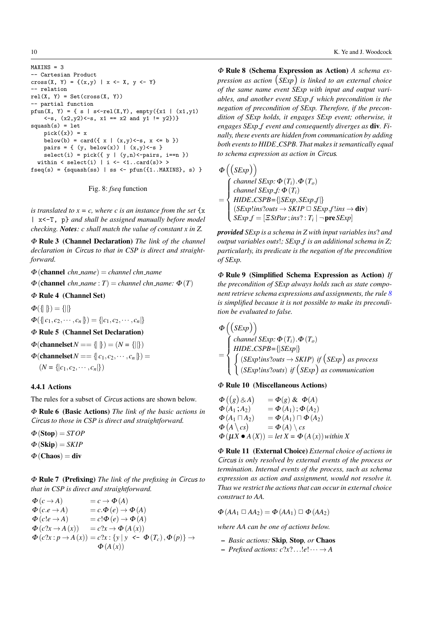```
MAXINS = 3-- Cartesian Product
cross(X, Y) = {(x,y) | x <- X, y <- Y}
 - relation
rel(X, Y) = Set(cross(X, Y))-- partial function
pfun(X, Y) = { s | s < - rel(X, Y), empty({x1 | (x1, y1)\langle -s, (x2,y2) \langle -s, x1 \rangle = x2 \text{ and } y1 \rangle = y2})squash(s) = letpick({x}) = xbelow(b) = card({ x | (x,y) <-s, x <= b })
    pairs = { (y, below(x)) | (x,y) <-s }
    select(i) = pick(f y | (y, n) <-pairs, i == n )within \leq select(i) | i \leq \leq 1..card(s)> >
fseq(s) = {squash(ss) | ss \leftarrow pfun({1..MAXINS}, s) }
```
Fig. 8: *fseq* function

*is translated to*  $x = c$ *, where c is an instance from the set*  $\{x\}$ | x<-T, p} *and shall be assigned manually before model checking. Notes: c shall match the value of constant x in Z.*

Φ Rule 3 (Channel Declaration) *The link of the channel declaration in* Circus *to that in CSP is direct and straightforward.*

Φ (channel *chn name*) = *channel chn name*

 $\Phi$  (**channel** *chn\_name* : *T*) = *channel chn\_name:*  $\Phi$  (*T*)

# Φ Rule 4 (Channel Set)

 $\Phi({\{\!\mid\!\mid\!\mid\!\}}) = {\{\!\mid\!\mid\!\mid\!\}}$  $\Phi({\lbrace c_1, c_2, \cdots, c_n \rbrace}) = {\lbrace c_1, c_2, \cdots, c_n \rbrace}$ 

Φ Rule 5 (Channel Set Declaration)

 $\Phi$ (channelset *N* = {| }) = (*N* = {||})  $\Phi$ (channelset  $N = \{ |c_1, c_2, \dots, c_n| \}$ ) =  $(N = \{|c_1, c_2, \cdots, c_n|\})$ 

# 4.4.1 Actions

The rules for a subset of Circus actions are shown below.

Φ Rule 6 (Basic Actions) *The link of the basic actions in* Circus *to those in CSP is direct and straightforward.*

 $\Phi$  (**Stop**) = *STOP*  $\Phi$  (**Skip**) = *SKIP*  $\Phi$  (Chaos) = div

Φ Rule 7 (Prefixing) *The link of the prefixing in* Circus *to that in CSP is direct and straightforward.*

$$
\begin{array}{lll}\n\Phi(c \to A) & = c \to \Phi(A) \\
\Phi(c.e \to A) & = c.\Phi(e) \to \Phi(A) \\
\Phi(c!e \to A) & = c!\Phi(e) \to \Phi(A) \\
\Phi(c?x \to A(x)) & = c?x \to \Phi(A(x)) \\
\Phi(c?x : p \to A(x)) = c?x : \{y \mid y \iff \Phi(T_c), \Phi(p)\} \to \\
\Phi(A(x))\n\end{array}
$$

Φ Rule 8 (Schema Expression as Action) *A schema expression as action* (*SExp*) *is linked to an external choice of the same name event SExp with input and output variables, and another event SExp f which precondition is the negation of precondition of SExp. Therefore, if the precondition of SExp holds, it engages SExp event; otherwise, it engages SExp f event and consequently diverges as* div*. Finally, these events are hidden from communication by adding both events to HIDE CSPB. That makes it semantically equal to schema expression as action in* Circus*.*

$$
\Phi\left(\left(SExp\right)\right)
$$
\n
$$
= \begin{cases}\n\text{channel} \, \text{SExp:} \, \Phi(T_i) \cdot \Phi(T_o) \\
\text{channel} \, \text{SExp:} \, \Phi(T_i) \\
\text{HIDE_CSPB = {|\text{SExp,} \, \text{SExp:}} |} \\
\text{(SExp1ins?outs \rightarrow SKIP \sqcup \text{SExp:} \, \text{ins} \rightarrow \text{div})} \\
\text{SExp:} \, f = \left[ \text{EStPar:} \, \text{ins?} : T_i \mid \neg \text{pre} \, \text{Exp} \right]\n\end{cases}
$$

*provided SExp is a schema in Z with input variables ins*? *and output variables outs*!*; SExp f is an additional schema in Z; particularly, its predicate is the negation of the precondition of SExp.*

Φ Rule 9 (Simplified Schema Expression as Action) *If the precondition of SExp always holds such as state component retrieve schema expressions and assignments, the rule 8 is simplified because it is not possible to make its precondition be evaluated to false.*

$$
\Phi\left(\left(SExp\right)\right)
$$
\n
$$
= \begin{cases}\n\text{channel} \, \text{SExp: } \Phi\left(T_i\right) \cdot \Phi\left(T_o\right) \\
\text{HIDE\_CSPB=}\{|SExp|\} \\
\left(\text{SExp}! \text{ins?outs} \rightarrow \text{SKIP}\right) \, \text{if}\left(SExp\right) \, \text{as process} \\
\text{(SExp}! \text{ins?outs}) \, \text{if}\left(SExp\right) \, \text{as communication}\n\end{cases}
$$

Φ Rule 10 (Miscellaneous Actions)

 $\Phi\left(\left(g\right) \otimes A\right)$  $= \Phi(g) \& \Phi(A)$  $\Phi(A_1; A_2) = \Phi(A_1); \Phi(A_2)$  $\Phi(A_1 \sqcap A_2) = \Phi(A_1) \sqcap \Phi(A_2)$  $\Phi(A \setminus cs)$  $= \Phi(A) \setminus cs$  $\Phi(\mu X \bullet A(X)) = \text{let } X = \Phi(A(x)) \text{ within } X$ 

Φ Rule 11 (External Choice) *External choice of actions in* Circus *is only resolved by external events of the process or termination. Internal events of the process, such as schema expression as action and assignment, would not resolve it. Thus we restrict the actions that can occur in external choice construct to AA.*

 $\Phi(AA_1 \square A A_2) = \Phi(AA_1) \square \Phi(AA_2)$ 

*where AA can be one of actions below.*

- *Basic actions:* Skip*,* Stop*, or* Chaos
- $-$  *Prefixed actions: c?x?* ...! $e! \cdots \rightarrow A$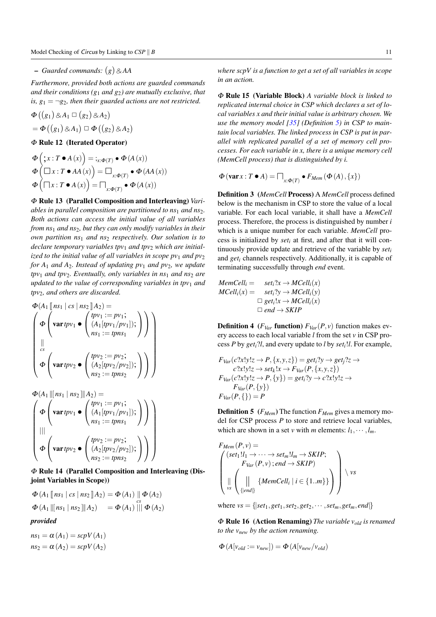$-$  *Guarded commands:*  $(g) \& AA$ 

*Furthermore, provided both actions are guarded commands and their conditions (g*<sup>1</sup> *and g*2*) are mutually exclusive, that is,*  $g_1 = \neg g_2$ *, then their guarded actions are not restricted.* 

$$
\Phi\left(\left(g_1\right) \otimes A_1 \square \left(g_2\right) \otimes A_2\right) \n= \Phi\left(\left(g_1\right) \otimes A_1\right) \square \Phi\left(\left(g_2\right) \otimes A_2\right)
$$

Φ Rule 12 (Iterated Operator)

$$
\Phi\left(\mathbf{X}:T\bullet A\left(x\right)\right)=\mathbf{i}_{x:\Phi\left(T\right)}\bullet\Phi\left(A\left(x\right)\right)
$$
\n
$$
\Phi\left(\Box x:T\bullet AA\left(x\right)\right)=\Box_{x:\Phi\left(T\right)}\bullet\Phi\left(AA\left(x\right)\right)
$$
\n
$$
\Phi\left(\Box x:T\bullet A\left(x\right)\right)=\Box_{x:\Phi\left(T\right)}\bullet\Phi\left(A\left(x\right)\right)
$$

Φ Rule 13 (Parallel Composition and Interleaving) *Variables in parallel composition are partitioned to ns*<sup>1</sup> *and ns*2*. Both actions can access the initial value of all variables from ns*<sup>1</sup> *and ns*2*, but they can only modify variables in their own partition ns*<sup>1</sup> *and ns*<sup>2</sup> *respectively. Our solution is to* declare *temporary variables tpv<sub>1</sub> and tpv<sub>2</sub> which are initialized to the initial value of all variables in scope*  $pv_1$  *and*  $pv_2$ *for*  $A_1$  *and*  $A_2$ *. Instead of updating pv<sub>1</sub> <i>and pv<sub>2</sub>, we update*  $t p v_1$  *and tpv<sub>2</sub>. Eventually, only variables in ns<sub>1</sub> <i>and ns<sub>2</sub> are updated to the value of corresponding variables in tpv*<sup>1</sup> *and tpv*2*, and others are discarded.*

$$
\Phi(A_1 \parallel ns_1 \mid cs \mid ns_2 \parallel A_2) =
$$
\n
$$
\phi \left( \text{var }tpv_1 \bullet \begin{pmatrix} \text{tp}v_1 := pv_1; \\ (A_1 \mid \text{tp}v_1/pv_1]); \\ \text{ns}_1 := \text{tp}ns_1 \end{pmatrix} \right)
$$
\n
$$
\psi \left( \text{var }tpv_2 \bullet \begin{pmatrix} \text{tp}v_2 := pv_2; \\ (A_2 \mid \text{tp}v_2/pv_2]); \\ \text{ns}_2 := \text{tp}ns_2 \end{pmatrix} \right)
$$

$$
\Phi(A_1 || [ns_1 | ns_2] || A_2) =
$$
\n
$$
\phi \left( \text{var\,} \left( \begin{array}{c} (p_{v_1} := p_{v_1}; \\ (A_1 [p_{v_1}/p_{v_1}]); \\ n_{s_1} := p_{n_{s_1}} \end{array} \right) \right)
$$
\n
$$
\left( \begin{array}{c} \text{var\,} \\ (A_1 [p_{v_1}/p_{v_1}]); \\ \text{var\,} \end{array} \right)
$$
\n
$$
\Phi \left( \text{var\,} \left( \begin{array}{c} (p_{v_2} := p_{v_2}; \\ (A_2 [p_{v_2}/p_{v_2}]); \\ n_{s_2} := p_{n_{s_2}} \end{array} \right) \right)
$$

Φ Rule 14 (Parallel Composition and Interleaving (Disjoint Variables in Scope))

$$
\Phi(A_1 \| ns_1 | cs | ns_2 \| A_2) = \Phi(A_1) \| \Phi(A_2)
$$
  

$$
\Phi(A_1 \| [ns_1 | ns_2] \| A_2) = \Phi(A_1) \| \Phi(A_2)
$$

*provided*

 $ns_1 = \alpha(A_1) = \frac{2}{\alpha}$  $ns_2 = \alpha(A_2) = \frac{1}{2}$  *where scpV is a function to get a set of all variables in scope in an action.*

Φ Rule 15 (Variable Block) *A variable block is linked to replicated internal choice in CSP which declares a set of local variables x and their initial value is arbitrary chosen. We use the memory model [35] (Definition 5) in CSP to maintain local variables. The linked process in CSP is put in parallel with replicated parallel of a set of memory cell processes. For each variable in x, there is a unique memory cell (MemCell process) that is distinguished by i.*

$$
\Phi(\mathbf{var} x: T \bullet A) = \square_{x: \Phi(T)} \bullet F_{Mem}(\Phi(A), \{x\})
$$

Definition 3 (*MemCell* Process) A *MemCell* process defined below is the mechanism in CSP to store the value of a local variable. For each local variable, it shall have a *MemCell* process. Therefore, the process is distinguished by number *i* which is a unique number for each variable. *MemCell* process is initialized by *set<sup>i</sup>* at first, and after that it will continuously provide update and retrieve of the variable by *set<sup>i</sup>* and *get<sup>i</sup>* channels respectively. Additionally, it is capable of terminating successfully through *end* event.

$$
MemCell_i = set_i?x \rightarrow Mcell_i(x)
$$
  
\n
$$
MCell_i(x) = set_i?y \rightarrow Mcell_i(y)
$$
  
\n
$$
\Box get_i!x \rightarrow Mcell_i(x)
$$
  
\n
$$
\Box end \rightarrow SKIP
$$

**Definition 4** ( $F_{Var}$  function)  $F_{Var}(P, v)$  function makes every access to each local variable *l* from the set *v* in CSP process *P* by *geti*?*l*, and every update to *l* by *seti*!*l*. For example,

$$
F_{Var}(c?x!y!z \rightarrow P, \{x,y,z\}) = get_i?y \rightarrow get_j?z \rightarrow
$$
  
\n
$$
c?x!y!z \rightarrow set_k!x \rightarrow F_{Var}(P, \{x,y,z\})
$$
  
\n
$$
F_{Var}(c?x!y!z \rightarrow P, \{y\}) = get_i?y \rightarrow c?x!y!z \rightarrow
$$
  
\n
$$
F_{Var}(P, \{y\})
$$
  
\n
$$
F_{Var}(P, \{\}) = P
$$

Definition 5 (*FMem*) The function *FMem* gives a memory model for CSP process *P* to store and retrieve local variables, which are shown in a set *v* with *m* elements:  $l_1, \dots, l_m$ .

*FMem* (*P*, *v*) = (*set*1!*l*<sup>1</sup> → ··· → *setm*!*l<sup>m</sup>* → *SKIP*; *FVar* (*P*, *v*); *end* → *SKIP*) k *vs* k {|*end*|} {*MemCell<sup>i</sup>* | *i* ∈ {1..*m*}} \ *vs*

where  $vs = \{ | set_1, get_1, set_2, get_2, \cdots, set_m, get_m, end \} \}$ 

Φ Rule 16 (Action Renaming) *The variable vold is renamed to the vnew by the action renaming.*

$$
\mathbf{\Phi}(A[v_{old} := v_{new}]) = \mathbf{\Phi}(A[v_{new}/v_{old})
$$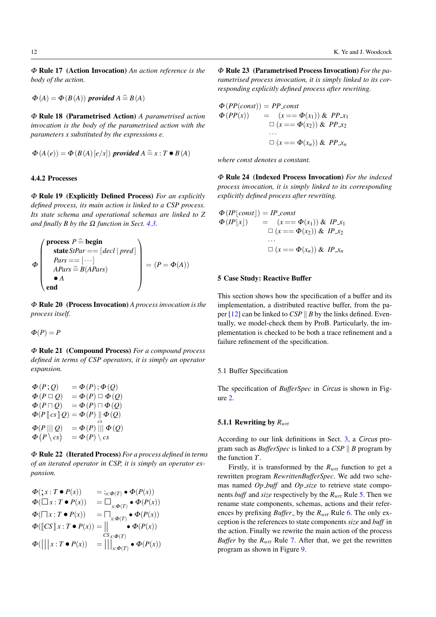Φ Rule 17 (Action Invocation) *An action reference is the body of the action.*

$$
\Phi(A) = \Phi(B(A)) \text{ provided } A \cong B(A)
$$

Φ Rule 18 (Parametrised Action) *A parametrised action invocation is the body of the parametrised action with the parameters x substituted by the expressions e.*

$$
\Phi(A(e)) = \Phi(B(A)[e/x]) \text{ provided } A \cong x : T \bullet B(A)
$$

#### 4.4.2 Processes

Φ Rule 19 (Explicitly Defined Process) *For an explicitly defined process, its main action is linked to a CSP process. Its state schema and operational schemas are linked to Z and finally B by the* Ω *function in Sect. 4.3.*

$$
\Phi\n\begin{pmatrix}\n\text{process } P \stackrel{\frown}{=} \text{begin} \\
\text{state } \text{S}t\text{Par} == [\text{decl} \mid \text{pred} ] \\
\text{Pars} == [\cdots] \\
\text{APars} \stackrel{\frown}{=} B(\text{APars}) \\
\bullet \text{A} \\
\text{end}\n\end{pmatrix} = (P = \Phi(A))
$$

Φ Rule 20 (Process Invocation) *A process invocation is the process itself.*

 $\Phi(P) = P$ 

Φ Rule 21 (Compound Process) *For a compound process defined in terms of CSP operators, it is simply an operator expansion.*

$$
\Phi(P;Q) = \Phi(P); \Phi(Q)
$$
\n
$$
\Phi(P \Box Q) = \Phi(P) \Box \Phi(Q)
$$
\n
$$
\Phi(P \Box Q) = \Phi(P) \Box \Phi(Q)
$$
\n
$$
\Phi(P \llbracket cs \rrbracket Q) = \Phi(P) \parallel \Phi(Q)
$$
\n
$$
\Phi(P \parallel \parallel Q) = \Phi(P) \parallel \parallel \Phi(Q)
$$
\n
$$
\Phi(P \lor cs) = \Phi(P) \lor cs
$$

Φ Rule 22 (Iterated Process) *For a process defined in terms of an iterated operator in CSP, it is simply an operator expansion.*

$$
\Phi(\mathbf{X} : T \bullet P(\mathbf{x})) = \mathbf{X} \cdot \Phi(P(\mathbf{x}))
$$
\n
$$
\Phi(\Box x : T \bullet P(\mathbf{x})) = \Box_{\mathbf{x} : \Phi(T)} \bullet \Phi(P(\mathbf{x}))
$$
\n
$$
\Phi(\Box x : T \bullet P(\mathbf{x})) = \Box_{\mathbf{x} : \Phi(T)} \bullet \Phi(P(\mathbf{x}))
$$
\n
$$
\Phi([\Box S \mathbf{x} : T \bullet P(\mathbf{x})) = || \bullet \Phi(P(\mathbf{x}))
$$
\n
$$
\Phi(||\mathbf{x} : T \bullet P(\mathbf{x})) = || \mathbf{X} \cdot \Phi(\mathbf{x})
$$
\n
$$
\Phi(||\mathbf{x} : T \bullet P(\mathbf{x})) = || \mathbf{X} \cdot \Phi(\mathbf{x})
$$

Φ Rule 23 (Parametrised Process Invocation) *For the parametrised process invocation, it is simply linked to its corresponding explicitly defined process after rewriting.*

$$
\Phi(PP(const)) = PP\_{const}
$$
  
\n
$$
\Phi(PP(x)) = (x == \Phi(x_1)) \& PP\_{x_1}
$$
  
\n
$$
\Box (x == \Phi(x_2)) \& PP\_{x_2}
$$
  
\n...  
\n
$$
\Box (x == \Phi(x_n)) \& PP\_{x_n}
$$

*where const denotes a constant.*

Φ Rule 24 (Indexed Process Invocation) *For the indexed process invocation, it is simply linked to its corresponding explicitly defined process after rewriting.*

$$
\Phi (IP[const]) = IP\text{const}
$$
  
\n
$$
\Phi (IP[x]) = (x == \Phi(x_1)) \& IP\text{.}
$$
  
\n
$$
\Box (x == \Phi(x_2)) \& IP\text{.}
$$
  
\n
$$
\Box (x == \Phi(x_n)) \& IP\text{.}
$$
  
\n
$$
\Box (x == \Phi(x_n)) \& IP\text{.}
$$

### 5 Case Study: Reactive Buffer

This section shows how the specification of a buffer and its implementation, a distributed reactive buffer, from the paper  $[12]$  can be linked to *CSP*  $\parallel$  *B* by the links defined. Eventually, we model-check them by ProB. Particularly, the implementation is checked to be both a trace refinement and a failure refinement of the specification.

# 5.1 Buffer Specification

The specification of *BufferSpec* in Circus is shown in Figure 2.

# 5.1.1 Rewriting by *Rwrt*

According to our link definitions in Sect. 3, a Circus program such as *BufferSpec* is linked to a  $CSP \parallel B$  program by the function ϒ.

Firstly, it is transformed by the *Rwrt* function to get a rewritten program *RewrittenBufferSpec*. We add two schemas named *Op buff* and *Op size* to retrieve state components *buff* and *size* respectively by the *Rwrt* Rule 5. Then we rename state components, schemas, actions and their references by prefixing *Buffer* by the  $R<sub>wrt</sub>$  Rule 6. The only exception is the references to state components *size* and *buff* in the action. Finally we rewrite the main action of the process *Buffer* by the *Rwrt* Rule 7. After that, we get the rewritten program as shown in Figure 9.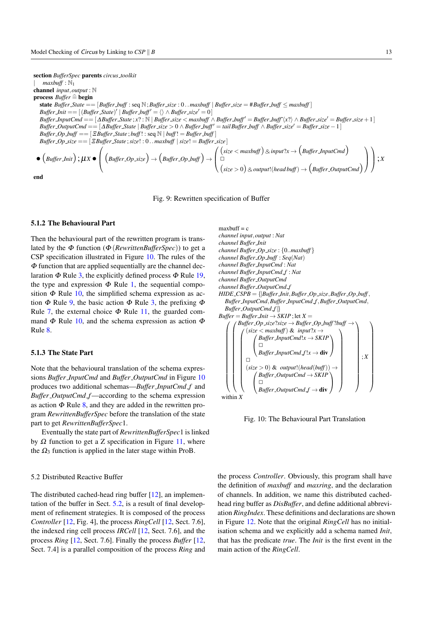section *BufferSpec* parents *circus toolkit*  $maxbuff: \mathbb{N}_1$ channel *input*,*output* : N process *Buffer*  $\widehat{=}$  begin state *Buffer State* == [*Buffer buff* : seq N;*Buffer size* : 0 ..*maxbuff* | *Buffer size* = #*Buffer buff* ≤ *maxbuff* ]  $\mathit{Buffer\_Init} == \left[ \left( \mathit{Buffer\_State} \right)' \mid \mathit{Buffer\_buffer\_buffer} \right]' = \langle \rangle \land \mathit{Buffer\_size'} = 0 \right]$ Buffer InputCmd ==  $[\Delta B$ uffer State; x?:  $N \mid B$ uffer size < maxbuff  $\wedge B$ uffer buff' = Buffer buff' $\langle x \rangle \wedge B$ uffer size' = Buffer size' = Buffer size+1 *Buffer OutputCmd* == [∆*Buffer State* | *Buffer size* > 0 ∧ *Buffer buff* ′ = *tailBuffer buff* ∧ *Buffer size*′ = *Buffer size*−1] *Buffer Op buff* == [Ξ*Buffer State* ; *buff*! : seq N | *buff*! = *Buffer buff* ] *Buffer Op size* == [Ξ*Buffer State* ;*size*! : 0 ..*maxbuff* | *size*! = *Buffer size* ]  $\bullet$   $\big(B{\rm uffer\_Init}\big)$ ;  $\mu$ *X*  $\bullet$  $\sqrt{ }$  $($  *Buffer*  $\Omega p\_size$   $)$   $\rightarrow$   $($  *Buffer*  $\Omega p\_buffer$   $)$   $\rightarrow$  $\sqrt{ }$  $\overline{\phantom{a}}$  $\big( \text{size} < \text{maxbuff} \big) \otimes \text{input?} x \rightarrow \big( \text{Buffer\_InputCmd} \big)$  $\Big(\textit{size} > 0\Big)$  &  $\textit{output}$ ! $(\textit{head buffer\_OutputCmd})$  $\setminus$  $\vert$  $\setminus$ ;*<sup>X</sup>*

end

Fig. 9: Rewritten specification of Buffer

### 5.1.2 The Behavioural Part

Then the behavioural part of the rewritten program is translated by the Φ function (Φ (*RewrittenBufferSpec*)) to get a CSP specification illustrated in Figure 10. The rules of the  $\Phi$  function that are applied sequentially are the channel declaration  $\Phi$  Rule 3, the explicitly defined process  $\Phi$  Rule 19, the type and expression  $\Phi$  Rule 1, the sequential composition  $\Phi$  Rule 10, the simplified schema expression as action  $\Phi$  Rule 9, the basic action  $\Phi$  Rule 3, the prefixing  $\Phi$ Rule 7, the external choice  $\Phi$  Rule 11, the guarded command  $\Phi$  Rule 10, and the schema expression as action  $\Phi$ Rule 8.

#### 5.1.3 The State Part

Note that the behavioural translation of the schema expressions *Buffer InputCmd* and *Buffer OutputCmd* in Figure 10 produces two additional schemas—*Buffer InputCmd f* and *Buffer OutputCmd f*—according to the schema expression as action  $\Phi$  Rule 8, and they are added in the rewritten program *RewrittenBufferSpec* before the translation of the state part to get *RewrittenBufferSpec*1.

Eventually the state part of *RewrittenBufferSpec*1 is linked by Ω function to get a Z specification in Figure 11, where the  $\Omega_3$  function is applied in the later stage within ProB.

# 5.2 Distributed Reactive Buffer

The distributed cached-head ring buffer [12], an implementation of the buffer in Sect. 5.2, is a result of final development of refinement strategies. It is composed of the process *Controller* [12, Fig. 4], the process *RingCell* [12, Sect. 7.6], the indexed ring cell process *IRCell* [12, Sect. 7.6], and the process *Ring* [12, Sect. 7.6]. Finally the process *Buffer* [12, Sect. 7.4] is a parallel composition of the process *Ring* and  $maxbuff = c$ *channel input*,*output* : *Nat channel Buffer Init channel Buffer Op size* : {0..*maxbuff* } *channel Buffer Op buff* : *Seq*(*Nat*) *channel Buffer InputCmd* : *Nat channel Buffer InputCmd f* : *Nat channel Buffer OutputCmd channel Buffer OutputCmd f*  $HIDE\_CSPB = \{|Buffer\_Init,Buffer\_Op\_size,Buffer\_Op\_buffer\}$ *Buffer InputCmd*,*Buffer InputCmd f* ,*Buffer OutputCmd*, *Buffer OutputCmd f* |}  $Buffer = Buffer\_Init \rightarrow SKIP$ ; let  $X =$  $\sqrt{ }$   $\sqrt{ }$   $B$ *Buffer*  $\Delta$ *Op*  $\text{size}$ *?size*  $\rightarrow$  *Buffer*  $\Delta$ *Op*  $\text{buffer}$  ?*buff*  $\sqrt{ }$  $\begin{array}{c} \begin{array}{c} \begin{array}{c} \begin{array}{c} \end{array} \\ \end{array} \\ \begin{array}{c} \end{array} \end{array} \end{array}$  $(size < maxbuffer)$  & *input*? $x \rightarrow$  $\sqrt{ }$  $\mathbf{I}$ *Buffer InputCmd*!*x* → *SKIP*  $\Box$ *Buffer InputCmd*  $f!x$  $\setminus$  $\mathbf{I}$  $\Box$  $(size > 0)$  & *output*! $(head(buff))$   $\rightarrow$  $\sqrt{ }$  $\mathbf{I}$ *Buffer OutputCmd* → *SKIP*  $\Box$  $Buffer\_OutputCmd_f \rightarrow \text{div}$  $\setminus$  $\overline{1}$  $\setminus$   $\setminus$  ;*X*  $\setminus$ 

within *X*

Fig. 10: The Behavioural Part Translation

the process *Controller*. Obviously, this program shall have the definition of *maxbuff* and *maxring*, and the declaration of channels. In addition, we name this distributed cachedhead ring buffer as *DisBuffer*, and define additional abbreviation *RingIndex*. These definitions and declarations are shown in Figure 12. Note that the original *RingCell* has no initialisation schema and we explicitly add a schema named *Init*, that has the predicate *true*. The *Init* is the first event in the main action of the *RingCell*.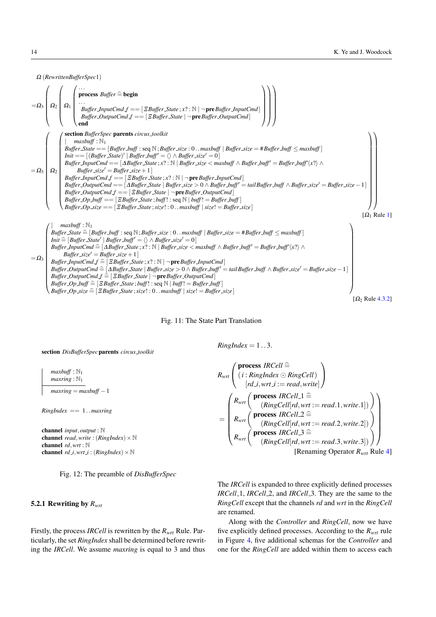<sup>Ω</sup> (*RewrittenBufferSpec*1)



Fig. 11: The State Part Translation

*Rwrt*

section *DisBufferSpec*parents *circus toolkit*

 $maxbuff : \mathbb{N}_1$ *maxring* : N<sup>1</sup>

 $maxring = maxbufferf - 1$ 

*RingIndex* == 1 ..*maxring*

channel *input*,*output* : N **channel** *read*,*write* : (*RingIndex*)  $\times$  N channel *rd*,*wrt* : N channel  $rd_i, wrt_i : (RingIndex) \times \mathbb{N}$ 

Fig. 12: The preamble of *DisBufferSpec*

# 5.2.1 Rewriting by *Rwrt*

Firstly, the process *IRCell* is rewritten by the *Rwrt* Rule. Particularly, the set *RingIndex* shall be determined before rewriting the *IRCell*. We assume *maxring* is equal to 3 and thus

$$
\text{process } \textit{IRCell} \widehat{=} \atop(i : \textit{RingIndex} \odot \textit{RingCell})
$$

 $RingIndex = 1 \ldots 3$ .

$$
R_{wrt}\left(\begin{array}{c} (1: \text{King} \text{max} \odot \text{KingCell}) \\ [rd\_i, wrt\_i := read, write] \end{array}\right)
$$
\n
$$
= \begin{pmatrix} R_{wrt} \left(\begin{array}{c} \text{process } \text{IRCell} \, 1 \, \widehat{=} \\ (\text{RingCell} \, r, wrt := read.1, write.1]) \end{array}\right) \\ R_{wrt} \left(\begin{array}{c} \text{process } \text{IRCell} \, 2 \, \widehat{=} \\ (\text{RingCell} \, r, wrt := read.2, write.2]) \end{array}\right) \\ R_{wrt} \left(\begin{array}{c} \text{process } \text{IRCell} \, 3 \, \widehat{=} \\ (\text{RingCell} \, r, wrt := read.3, write.3]) \end{array}\right) \end{pmatrix}
$$
\n[Renaming Operator  $R_{wrt}$  Rule 4]

 $\setminus$ 

The *IRCell* is expanded to three explicitly defined processes *IRCell* 1, *IRCell* 2, and *IRCell* 3. They are the same to the *RingCell* except that the channels *rd* and *wrt* in the *RingCell* are renamed.

Along with the *Controller* and *RingCell*, now we have five explicitly defined processes. According to the *Rwrt* rule in Figure 4, five additional schemas for the *Controller* and one for the *RingCell* are added within them to access each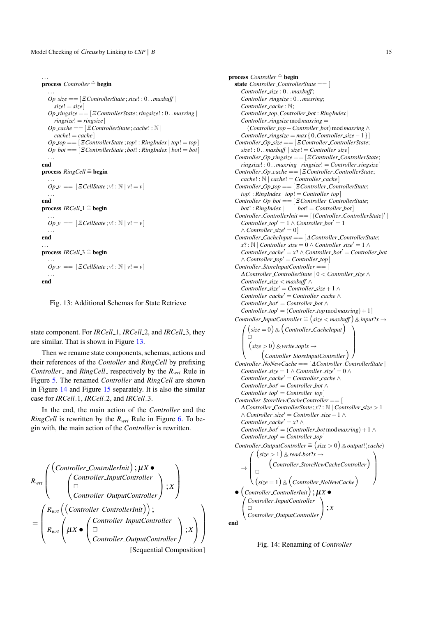... process *Controller*  $\widehat{=}$  begin

```
...
   Op\_size == [EControllerState; size: 0 \dots maxbuffer]size! = size!Op ringsize == [ΞControllerState ;ringsize! : 0 ..maxring |
     ringsize! = ringsize ]
   Op cache == [ΞControllerState ; cache! : N |
     cache! = cacheOp\_top == [\Xi ControllerState ; top! : RingIndex | top! = top]
   Op\_bot == \lbrack \exists ControllerState ; bot! : RingIndex | bot! = bot]
   ...
end
process RingCell \hat{=} begin
   ...
   Op_v = [\XiCellState; v! : \mathbb{N} \mid v! = v]...
end
process IRCell \hat{=} begin
   ...
   Op_v = [\mathcal{E}CellState; v! : \mathbb{N} \mid v! = v]...
end
...
process IRCell 3 \hat{=} begin
   ...
   Op_v = [\mathcal{E}CellState; v! : \mathbb{N} \mid v! = v]...
end
```


state component. For *IRCell\_1*, *IRCell\_2*, and *IRCell\_3*, they are similar. That is shown in Figure 13.

Then we rename state components, schemas, actions and their references of the *Contoller* and *RingCell* by prefixing *Controller*<sub>-</sub> and *RingCell*<sub>-</sub> respectively by the  $R<sub>wrt</sub>$  Rule in Figure 5. The renamed *Controller* and *RingCell* are shown in Figure 14 and Figure 15 separately. It is also the similar case for *IRCell* 1, *IRCell* 2, and *IRCell* 3.

In the end, the main action of the *Controller* and the *RingCell* is rewritten by the *Rwrt* Rule in Figure 6. To begin with, the main action of the *Controller* is rewritten.

$$
R_{wrt}\left(\begin{array}{c}\n\text{(Controller-ControllerInit)}; \mu X \cdot \\
\text{(Controller-InputController)}; X \\
\text{Controller-OutputController}\n\end{array}\right); X
$$
\n
$$
= \begin{pmatrix}\nR_{wrt}\left(\text{(Controller-ControllerInit)}\right); \\
R_{wrt}\left(\mu X \cdot \begin{pmatrix} \text{Controller-InputController} \\ \Box \\ \text{Controller-OutputController}\n\end{pmatrix}; X\right)\n\end{pmatrix}
$$
\n[Sequential Composition]

process *Controller*  $\widehat{=}$  begin state *Controller ControllerState* == [ *Controller size* : 0 ..*maxbuff* ; *Controller ringsize* : 0 ..*maxring*; *Controller cache* : N; *Controller top*,*Controller bot* : *RingIndex* | *Controller ringsize*mod*maxring* = (*Controller top*−*Controller bot*)mod*maxring* ∧  $Controller\_ringsize = max\{0, Controler\_size - 1\}$ *Controller Op size* == [Ξ*Controller ControllerState*; *size*! : 0 ..*maxbuff* | *size*! = *Controller size*] *Controller Op ringsize* == [Ξ*Controller ControllerState*; *ringsize*! : 0 ..*maxring* | *ringsize*! = *Controller ringsize* ] *Controller Op cache* == [Ξ*Controller ControllerState*; *cache*! : N | *cache*! = *Controller cache* ] *Controller Op top* == [Ξ*Controller ControllerState*; *top*! : *RingIndex* | *top*! = *Controller top*] *Controller Op bot* == [Ξ*Controller ControllerState*; *bot*! : *RingIndex* | *bot*! = *Controller bot*] *Controller ControllerInit* == [ (*Controller ControllerState*) ′ | *Controller\_top'* =  $1 \wedge$  *Controller\_bot'* =  $1$  $∧$  *Controller\_size'* = 0 *Controller CacheInput* == [∆*Controller ControllerState*; *x*? :  $\mathbb{N}$  | *Controller\_size* = 0 ∧ *Controller\_size'* = 1 ∧  $Controller\_cache' = x? \land Controller\_bot' = Contract$ ∧ *Controller top*′ = *Controller top*] *Controller StoreInputController* == [ <sup>∆</sup>*Controller ControllerState* | 0 < *Controller size* ∧ *Controller size* < *maxbuff* ∧  $Controller\_size' = Controller\_size + 1 \wedge$ *Controller cache*′ = *Controller cache* ∧ *Controller bot*′ = *Controller bot* ∧  $Controller\_top' = (Controller\_top \mod maxring) + 1$ *Controller InputController*  $\widehat{=}$  (*size*  $<$  *maxbuff*) & *input*?*x* →  $\overline{\phantom{a}}$  $(size = 0) \& (Controller\_CacheInput)$ ò  $(size > 0) \& write.top!x \rightarrow$ (*Controller StoreInputController*)  $\setminus$  $\Bigg\}$ *Controller NoNewCache* == [∆*Controller ControllerState* |  $Controller\_size = 1 \land Contract \textit{Controller\_size'} = 0 \land$ *Controller cache*′ = *Controller cache* ∧  $Controller\_bot' = Controler\_bot \wedge$  $Controller\_top' = Controller\_top$ *Controller StoreNewCacheController* == [ <sup>∆</sup>*Controller ControllerState* ; *x*? : N | *Controller size* > 1 ∧ *Controller size*′ = *Controller size*−1 ∧ *Controller\_cache′* =  $x$ ? ∧  $Controller\_bot' = (Controller\_bot \mod maxring) + 1 \land$  $Controller\_top' = Controller\_top$ *Controller*  $\text{Output}$ *Controller*  $\hat{=}$  (*size* > 0)  $\&$  *output*!(*cache*)  $\rightarrow$  $\sqrt{ }$  $\parallel$  $(size > 1) \& read.bot?x \rightarrow$ (*Controller StoreNewCacheController*)  $\Box$  $(size = 1) \& (Controller\textit{NowCache})$  $\setminus$  $\Big\}$  $\bullet$  (*Controller\_ControllerInit*);  $\mu$ *X*  $\bullet$  $\gamma$  $\mathbf{I}$ *Controller InputController*  $\Box$ *Controller OutputController*  $\setminus$ ;*<sup>X</sup>* end

Fig. 14: Renaming of *Controller*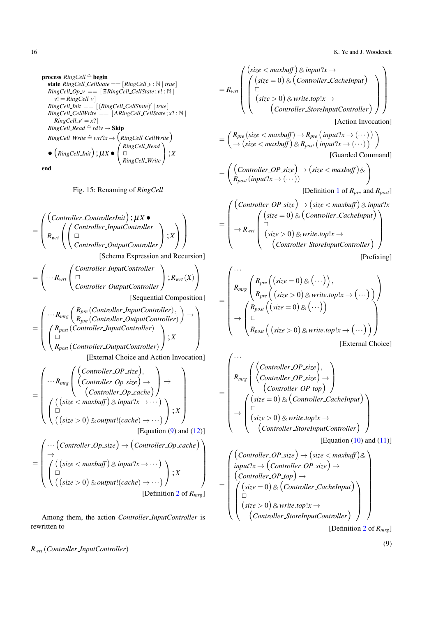process  $RingCell \hat{=}$  begin state  $RingCell\_CellState == [RingCell_v : \mathbb{N} | true]$  $RingCell\_Op_v == [ERingCell\_CellState; v! : \mathbb{N}$  $v! = RingCell_v$ *RingCell Init* == [ (*RingCell CellState*) ′ | *true* ]  $RingCell\_CellWrite$  ==  $\Delta RingCell\_CellState$ ;  $x$ ? : N |  $RingCell_v' = x?$  $RingCell$   $Read \cong rd!v \rightarrow$  Skip  $RingCell$ *-Write*  $\cong$  *wrt*?*x*  $\rightarrow$  (*RingCell\_CellWrite*)  $\bullet$   $\left(RingCell\_Init\right); \mu X \bullet \stackrel{\sim}{\left(RingCell\_Init\right)}$  $\overline{1}$ *RingCell Read* ✷ *RingCell Write*  $\setminus$ ;*<sup>X</sup>*

end



$$
= \begin{pmatrix} (Controller\text{-}ControllerInit) \, ; \, \mu X \bullet \\ R_{wrt} \begin{pmatrix} Controler\text{-}InputController \\ \Box \\ Controler\text{-}OutputController \end{pmatrix}; X \end{pmatrix}
$$

[Schema Expression and Recursion]  $\ddot{\phantom{a}}$ 

$$
= \left(\cdots R_{wrt} \left(\begin{array}{c}\nController\!\!\!\perp\!\! inputController \\
\hline\nController\!\!\!\perp\!\! OutputController\n\end{array}\right); R_{wrt}(X)\right) \tag{Sequential Composition}
$$

$$
= \left(\begin{array}{c}\cdots R_{mrg}\left(\begin{array}{c}R_{pre}\left(Controller\_InputController\right),\\R_{pre}\left(Controller\_OutputController\right)\end{array}\right)\rightarrow \\\left(\begin{array}{c}R_{post}\left(Controller\_InputController\right)\\ \Box\\R_{post}\left(Controller\_OutputController\right)\end{array}\right);X\end{array}\right)
$$

[External Choice and Action Invocation]

$$
= \begin{pmatrix}\n... R_{mrg} \begin{pmatrix}\n(Controller \_OP\_size), \\
(Controller \_Op\_size) \rightarrow \\
(Controller \_Op\_cache)\n\end{pmatrix} \rightarrow \\
( (size < maxbuff) \& input?x \rightarrow \cdots ) \\
( (size > 0) \& output!(cache) \rightarrow \cdots )\n\end{pmatrix}; X\n\end{pmatrix}
$$
\n
$$
= \begin{pmatrix}\n... \begin{pmatrix}\n (Controller \_Op\_size) \rightarrow (Controller \_Op\_cache) \\
 \rightarrow \\
 ( (size < maxbuff) \& input?x \rightarrow \cdots ) \\
 \ominus \\
 ( (size > 0) \& output?(\cache) \rightarrow \cdots )\n\end{pmatrix}; X\n\end{pmatrix}
$$
\n[Definition 2 of R<sub>mrg</sub>]

Among them, the action *Controller InputController* is rewritten to

$$
= R_{wrt}\left(\begin{array}{c}\n(size < maxbuffer) \& input?x \rightarrow \\
(size = 0) \& (Controller-CacheInput) \\
\Box \\
(size > 0) \& write.top!x \rightarrow \\
(controller\_StoreInputController)\n\end{array}\right)
$$

[Action Invocation]

$$
= \begin{pmatrix} R_{pre} (size < maxbuffer) \rightarrow R_{pre} (input?x \rightarrow (\cdots)) \\ \rightarrow (size < maxbuffer) \otimes R_{post} (input?x \rightarrow (\cdots)) \end{pmatrix}
$$
 [Guarded Command]

$$
= \left(\begin{array}{c}\n(Controller\_OP\_size) \rightarrow (size < maxbuff) \& \\
R_{post}(input?x \rightarrow (\cdots))\n\end{array}\right)
$$

[Definition 1 of *Rpre* and *Rpost*]

$$
= \begin{pmatrix} (Controller\_OP\_size) \rightarrow (size < maxbuffer) \& input?x \\ \begin{pmatrix} (size = 0) \& (Controller\_CacheInput) \\ \Box \\ (size > 0) \& write.top!x \rightarrow \\ (Controller\_StoreInputController) \end{pmatrix} \end{pmatrix}
$$

[Prefixing]

$$
\begin{pmatrix}\n\cdots \\
R_{mrg} \\
R_{pre}((size=0) \& (\cdots)), \\
R_{pre}((size>0) \& write.top!x \rightarrow (\cdots))\n\end{pmatrix}
$$
\n
$$
\rightarrow \begin{pmatrix}\nR_{post}((size=0) \& (\cdots)) \\
\Box \\
R_{post}((size>0) \& write.top!x \rightarrow (\cdots))\n\end{pmatrix}
$$
\n[External Choi]

=

=

 $\overline{\phantom{a}}$ 

[External Choice]

$$
\begin{pmatrix}\n\cdots \\
R_{mrg} \left( \begin{array}{c} (Controller\_OP\_size), \\
 (Controller\_OP\_size) \rightarrow \\
 (Controller\_OP\_top) \end{array} \right) \\
\rightarrow \begin{pmatrix}\n(size = 0) & (Controller\_CacheInput) \\
\Box \\
 (size > 0) & \&\nvite.top!x \rightarrow \\
 (Controller\_StoreInputController)\end{pmatrix}\n\end{pmatrix}
$$

[Equation  $(10)$  and  $(11)$ ]

$$
\begin{pmatrix}\n\text{(Controller.OP_size)} \rightarrow (\text{size} < \text{maxbuff}) \& \\
\text{input?x} \rightarrow (\text{Controller.OP_size}) \rightarrow \\
\text{(Controller.OP-top)} \rightarrow \\
\begin{pmatrix}\n(\text{size} = 0) \& (\text{Controller\_CacheInput}) \\
\Box \\
(\text{size} > 0) \& \text{write.top} \bot \rightarrow \\
(\text{Controller\_StoreInputController})\n\end{pmatrix}\n\end{pmatrix}
$$

[Definition 2 of *Rmrg*]

*Rwrt*(*Controller InputController*)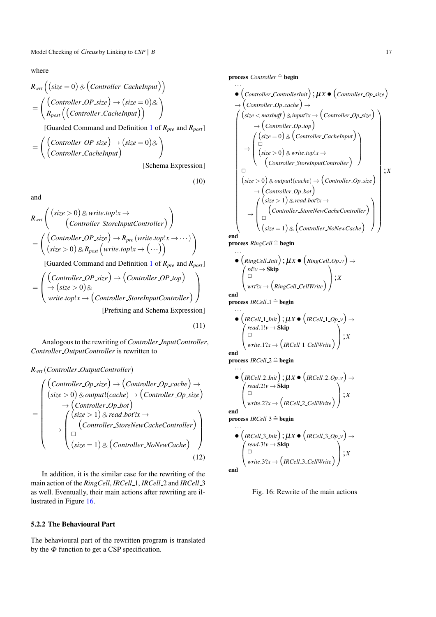# where

$$
R_{wrt} ((size = 0) \& (Controller\_CacheInput))
$$
\n
$$
= \begin{pmatrix} (Controller\_OP\_size) \rightarrow (size = 0) \& \\ R_{post} ((Controller\_CacheInput)) \end{pmatrix}
$$

[Guarded Command and Definition 1 of *Rpre* and *Rpost*]

$$
= \left( \begin{array}{c} (Controller \_OP\_size) \rightarrow (size = 0) \& \\ (Controller \_CacheInput) \end{array} \right)
$$

[Schema Expression]

(10)

and

$$
R_{wrt}\left(\begin{array}{c} (size > 0) \otimes write.top!x \rightarrow \\ (Controller\_StoreInputController) \end{array}\right)
$$
\n
$$
= \left(\begin{array}{c} (Controller\_OP\_size) \rightarrow R_{pre}(write.top!x \rightarrow \cdots) \\ (size > 0) \otimes R_{post}\left(write.top!x \rightarrow (\cdots)\right) \end{array}\right)
$$

[Guarded Command and Definition 1 of *Rpre* and *Rpost*]

$$
= \begin{pmatrix} (Controller\_OP\_size) \rightarrow (Controller\_OP\_top) \\ \rightarrow (size > 0) \& \\ write.top!x \rightarrow (Controller\_StoreInputController) \end{pmatrix}
$$
  
[Prefixing and Scheme Expression]

(11)

Analogous to the rewriting of *Controller InputController*, *Controller OutputController* is rewritten to

*Rwrt*(*Controller OutputController*)

$$
= \begin{pmatrix} (Controller\text{-}Op\_size) \rightarrow (Controller\text{-}Op\_cache) \rightarrow \\ (size > 0) \otimes output!(cache) \rightarrow (Controller\text{-}Op\_size) \\ \rightarrow (Controller\text{-}Op\_bot) \\ (size > 1) \otimes read.bot?x \rightarrow \\ (Controller\text{-}StoreNewCacheController) \\ \Box \\ (size = 1) \otimes (Controller\text{-}NoNewCache) \end{pmatrix}
$$
\n(12)

In addition, it is the similar case for the rewriting of the main action of the *RingCell*, *IRCell\_1*, *IRCell\_2* and *IRCell\_3* as well. Eventually, their main actions after rewriting are illustrated in Figure 16.

# 5.2.2 The Behavioural Part

The behavioural part of the rewritten program is translated by the Φ function to get a CSP specification.

process *Controller*  $\widehat{=}$  begin

...

$$
\begin{array}{l}\n\bullet \left( \text{Controller-ControllerInit} \right) ; \mu x \bullet \left( \text{Controller-Op\_size} \right) \\
\rightarrow \left( \text{Controller-Op\_cache} \right) \rightarrow \\
\left( \text{size} < \text{maxbuff} \right) \& \text{input?x} \rightarrow \left( \text{Controller-Op\_size} \right) \\
\rightarrow \left( \text{Controller-Op\_top} \right) \\
\rightarrow \left( \text{Cortroller-Op\_top} \right) \\
\rightarrow \left( \text{Size} = 0 \right) \& \left( \text{Controller\_CacheInput} \right) \\
\rightarrow \left( \text{Size} > 0 \right) \& \text{write.top.lx} \rightarrow \\
\left( \text{Controller\_StoreInputController} \right) \rightarrow \\
\rightarrow \left( \text{Controller-Op\_bot} \right) \\
\rightarrow \left( \text{Controller\_Stop} \right) \\
\rightarrow \left( \text{Controller\_StoreNewCacheController} \right) \\
\rightarrow \left( \text{Cortroller\_StoreNewCacheController} \right) \\
\rightarrow \left( \text{Size} = 1 \right) \& \left( \text{Controller\_November} \right) \\
\end{array}
$$

process  $RingCell \hat{=}$  begin

...

...

$$
\bullet \left(\text{RingCell\_Init}\right); \mu X \bullet \left(\text{RingCell\_Op\_v}\right) \rightarrow \\ \begin{pmatrix} rdl \cup \rightarrow \text{Skip} \\ \Box \\ wrl?x \rightarrow \left(\text{RingCell\_CellWrite}\right) \end{pmatrix}; X
$$

process  $IRCell_1 \hat{=}$  begin

$$
\bullet \left( \text{IRCell\_1\_Init} \right) ; \mu X \bullet \left( \text{IRCell\_1\_Op\_v} \right) \rightarrow \\ \begin{pmatrix} read.1!v \rightarrow \text{Skip} \\ \Box \\ write.1?x \rightarrow \left( \text{IRCell\_1\_CellWrite} \right) \end{pmatrix} ; X
$$

end process *IRCell* 2  $\widehat{=}$  begin

$$
\bullet \left( \text{IRCell2\_Init} \right); \mu X \bullet \left( \text{IRCell2\_Op\_v} \right) \rightarrow \\ \left( \begin{array}{c} \text{read.2!v} \rightarrow \text{Skip} \\ \Box \\ \text{write.2?x} \rightarrow \left( \text{IRCell2\_CellWrite} \right) \end{array} \right); X
$$

process *IRCell* 3  $\widehat{=}$  begin

$$
\bullet \left( \text{IRCell.3\_Init} \right); \mu X \bullet \left( \text{IRCell.3\_Op.}_v \right) \rightarrow \\ \left( \begin{array}{c} \text{read.3!}_v \rightarrow \text{skip} \\ \Box \\ \text{write.3?}_x \rightarrow \left( \text{IRCell.3\_CellWrite} \right) \end{array} \right); X
$$
end

Fig. 16: Rewrite of the main actions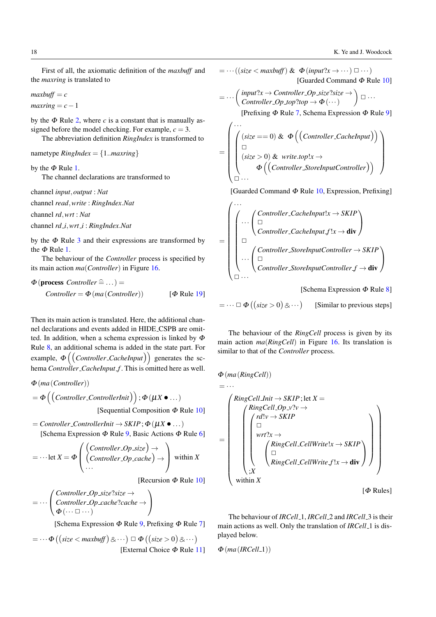First of all, the axiomatic definition of the *maxbuff* and the *maxring* is translated to

 $maxbuff = c$ 

 $maxring = c - 1$ 

by the  $\Phi$  Rule 2, where *c* is a constant that is manually assigned before the model checking. For example,  $c = 3$ .

The abbreviation definition *RingIndex* is transformed to

nametype *RingIndex* = {1..*maxring*}

by the  $\Phi$  Rule 1. The channel declarations are transformed to

channel *input*,*output* : *Nat*

channel *read*,*write* : *RingIndex*.*Nat*

channel *rd*,*wrt* : *Nat*

channel *rd i*,*wrt i* : *RingIndex*.*Nat*

by the  $\Phi$  Rule 3 and their expressions are transformed by the  $\Phi$  Rule 1.

The behaviour of the *Controller* process is specified by its main action *ma*(*Controller*) in Figure 16.

$$
\Phi(\text{process }Controller \cong ...)=
$$
  
Controller =  $\Phi \text{ (ma (Controller))}$  [ $\Phi$  Rule 19]

Then its main action is translated. Here, the additional channel declarations and events added in HIDE CSPB are omitted. In addition, when a schema expression is linked by Φ Rule 8, an additional schema is added in the state part. For example, Φ (*Controller CacheInput*) generates the schema *Controller CacheInput f* . This is omitted here as well.

$$
\Phi \left( ma \left(Controller \right) \right)
$$
\n
$$
= \Phi \left( \left(Controller\text{-}ControllerInit \right) \right); \Phi \left( \mu X \bullet \dots \right)
$$
\n[Sequential Composition  $\Phi$  Rule 10]

 $=$  *Controller ControllerInit*  $\rightarrow$  *SKIP*;  $\Phi$  ( $\mu$ *X* • ...) [Schema Expression Φ Rule 9, Basic Actions Φ Rule 6]

$$
= \cdots \text{let } X = \Phi \left( \begin{array}{c} \text{(Controller.Op\_size)} \rightarrow \\ \text{(Controller.Op\_cache)} \rightarrow \\ \cdots \end{array} \right) \text{ within } X
$$
  
[Recursion  $\Phi$  Rule 10]

$$
= \cdots \begin{pmatrix} Controler\_Op\_size?size \rightarrow \\ Controler\_Op\_cache?cache \rightarrow \\ \Phi(\cdots \Box \cdots) \end{pmatrix}
$$

[Schema Expression Φ Rule 9, Prefixing Φ Rule 7]

$$
= \cdots \Phi\left(\left(\text{size} < \text{maxbuffer}\right) \otimes \cdots\right) \Box \Phi\left(\left(\text{size} > 0\right) \otimes \cdots\right)
$$
\n[External Choice & Rule 11]

 $= \cdots ((size *maxbuffer*) \& \Phi (input?x \rightarrow \cdots) \square \cdots)$ [Guarded Command Φ Rule 10]

$$
= \cdots \left( \frac{input?x \rightarrow Controller\_Op\_size?size \rightarrow}{Controller\_Op\_top?top \rightarrow \Phi(\cdots)} \right) \square \cdots
$$

[Prefixing  $\Phi$  Rule 7, Schema Expression  $\Phi$  Rule 9]

$$
\left(\begin{array}{c}\n\cdots \\
\left(\text{size} == 0) & \& \Phi\left((\text{Controller\_CacheInput})\right) \\
\Box \\
\left(\text{size} > 0\right) & \& \ \text{write.top1x} \rightarrow \\
\Phi\left((\text{Controller\_StoreInputController})\right) > \\
\Box \cdots\n\end{array}\right)
$$

=

[Guarded Command  $\Phi$  Rule 10, Expression, Prefixing]

= ··· ··· *Controller CacheInput*!*x* → *SKIP* ✷ *Controller CacheInput f*!*x* → div ✷ ··· *Controller StoreInputController* → *SKIP* ✷ *Controller StoreInputController f* → div ✷ ···

[Schema Expression  $\Phi$  Rule 8]

 $= \cdots \Box \Phi ((size > 0) \& \cdots)$ [Similar to previous steps]

The behaviour of the *RingCell* process is given by its main action *ma*(*RingCell*) in Figure 16. Its translation is similar to that of the *Controller* process.

$$
\Phi \left( ma \left( RingCell \right) \right) \n= \cdots \n\begin{pmatrix}\nRingCell\_Init \rightarrow SKIP; let X = \\
\text{RingCell\_Op\_v?v} \rightarrow \\
\text{matrix: } & \rightarrow \\
\text{wrt?x} \rightarrow \\
\text{RingCell\_Cell\_CellWrite!x \rightarrow SKIP \\
\text{RingCell\_CellWrite}.f!x \rightarrow \text{div}\n\end{pmatrix}
$$
\n
$$
\right)
$$
\n
$$
\begin{pmatrix}\n\text{avgCell\_Cell} \\
\text{X} \\
\text{within } X\n\end{pmatrix}
$$

[Φ Rules]

The behaviour of *IRCell* 1, *IRCell* 2 and *IRCell* 3 is their main actions as well. Only the translation of *IRCell* 1 is displayed below.

$$
\Phi \left( ma \left( \text{IRCell}_1 \right) \right)
$$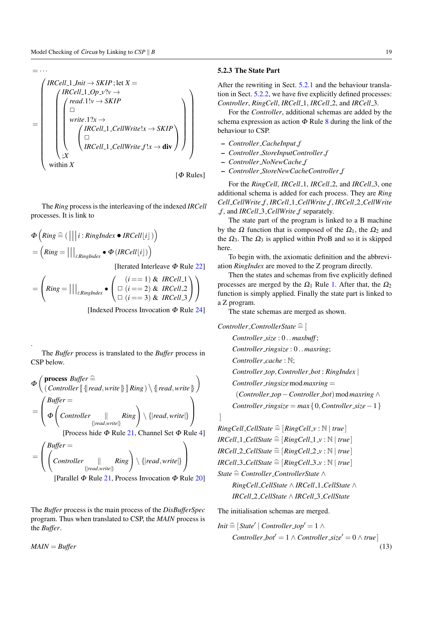$= \cdots$ 

$$
= \left(\begin{array}{c}\n\left\{\n\begin{array}{c}\n\text{IRCell}\_1\text{Init} \rightarrow \text{SKIP}; \text{let } X = \\
\text{IRCell}\_1\text{Op}\_2\text{V}\,\gamma \rightarrow \\
\text{read}\_1!\,\text{V} \rightarrow \text{SKIP} \\
\hline\n\end{array}\right\}\n\\
=\left(\begin{array}{c}\n\text{real}\_1!\,\text{V} \rightarrow \text{SKIP} \\
\text{write}\_1\text{?}\times \rightarrow \\
\text{IRCell}\_1\text{CellWrite}\_1!\,\text{V} \rightarrow \text{div}\n\end{array}\right)\n\\
\downarrow\n\\
\downarrow X \\
\text{within } X\n\end{array}\right)
$$

[Φ Rules]

The *Ring* process is the interleaving of the indexed *IRCell* processes. It is link to

$$
\Phi\left(Ring \,\widehat{=}\, (\,||\,| \,i : RingIndex \bullet \, IRCell[\,i\,]) \right)
$$
\n
$$
= \left(Ring = \,||\,|_{i:RingIndex} \bullet \Phi\left( \text{IRCell}[\,i\,] \right) \right)
$$
\n[Iterated Interleave  $\Phi$  Rule 22]\n
$$
= \left(Ring = \,||\,|_{i:RingIndex} \bullet \left(\begin{array}{c}\n(i == 1) & \text{IRCell}.1 \\
\Box\ (i == 2) & \text{IRCell}.2 \\
(i == 2) & \text{IRCell}.2\n\end{array}\right)\right)
$$

 $\Box$  (*i* == 2) & *IRCell\_2*  $\Box$  (*i* == 3) & *IRCell\_3*  $\Box$ [Indexed Process Invocation  $\Phi$  Rule 24]

The *Buffer* process is translated to the *Buffer* process in CSP below.

$$
\Phi\left(\begin{matrix}\text{process } Buffer \widehat{=} \\ (Controller [\{ read, write ]} ] Ring) \setminus \{ read, write ]} \end{matrix}\right)
$$
\n
$$
= \begin{pmatrix} Buffer = \\ \Phi\left(\begin{matrix} Contact \\ (Context - ] \\ (read, write ]] \end{matrix}\right) \setminus \{ read, write ]} \end{pmatrix}
$$
\n[Process hide  $\Phi$  Rule 21. Channel Set  $\Phi$  Rule 21

[Process hide  $\Phi$  Rule 21, Channel Set  $\Phi$  Rule 4]

$$
= \left(\begin{matrix}Buffer = \\ \begin{pmatrix} \text{Controller} \\ \text{[read, write]} \end{pmatrix} \setminus \{\text{read, write}\} \end{matrix}\right)
$$

[Parallel  $\Phi$  Rule 21, Process Invocation  $\Phi$  Rule 20]

The *Buffer* process is the main process of the *DisBufferSpec* program. Thus when translated to CSP, the *MAIN* process is the *Buffer*.

*MAIN* = *Buffer*

.

# 5.2.3 The State Part

After the rewriting in Sect. 5.2.1 and the behaviour translation in Sect. 5.2.2, we have five explicitly defined processes: *Controller*, *RingCell*, *IRCell* 1, *IRCell* 2, and *IRCell* 3.

For the *Controller*, additional schemas are added by the schema expression as action  $\Phi$  Rule 8 during the link of the behaviour to CSP.

- *Controller CacheInput f*
- *Controller StoreInputController f*
- *Controller NoNewCache f*
- *Controller StoreNewCacheController f*

For the *RingCell*, *IRCell\_1*, *IRCell\_2*, and *IRCell\_3*, one additional schema is added for each process. They are *Ring Cell CellWrite f* , *IRCell* 1 *CellWrite f* , *IRCell* 2 *CellWrite f* , and *IRCell* 3 *CellWrite f* separately.

The state part of the program is linked to a B machine by the Ω function that is composed of the  $Ω_1$ , the  $Ω_2$  and the  $\Omega_3$ . The  $\Omega_3$  is applied within ProB and so it is skipped here.

To begin with, the axiomatic definition and the abbreviation *RingIndex* are moved to the Z program directly.

Then the states and schemas from five explicitly defined processes are merged by the  $\Omega_1$  Rule 1. After that, the  $\Omega_2$ function is simply applied. Finally the state part is linked to a Z program.

The state schemas are merged as shown.

Controller-ControllerState 
$$
\cong
$$
 [

\nController\_size : 0...maxbuffer;  
\nController\_ringsize : 0...maxring;  
\nController\_code : ℕ;  
\nControllertop,Controller\_bot : RingIndex |

\nController\_ringsize mod maxring =

\n(Controller\_top - Controller\_bot) mod maxring ∧

\nController\_ringsize = max { 0, Controler\_size - 1 }

 $RingCell\_CellState \cong [RingCell_v : \mathbb{N} | true]$  $IRCell\_1\_CellState \cong [RingCell\_1\_v : \mathbb{N} \mid true]$  $\textit{IRCell}\_\textit{2\_CellState} \cong \textit{[RingCell}\_\textit{2\_v} : \mathbb{N} \mid \textit{true} \mid$  $IRCell_3_CellState \cong [RingCell_3_v : \mathbb{N} | true]$ *State* <sup>=</sup><sup>b</sup> *Controller ControllerState* <sup>∧</sup> *RingCell CellState* ∧ *IRCell* 1 *CellState* ∧ *IRCell* 2 *CellState* ∧ *IRCell* 3 *CellState*

The initialisation schemas are merged.

*Init* 
$$
\cong
$$
 [*State'* | *Controller-top'* = 1  $\land$   
*Controllerbot'* = 1  $\land$  *Controller\_size'* = 0  $\land$  *true* ] (13)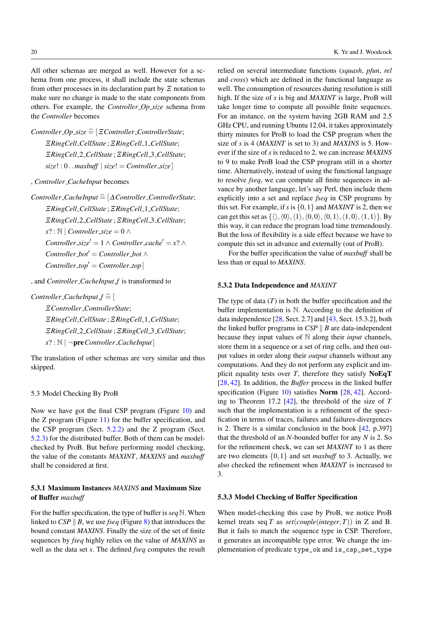All other schemas are merged as well. However for a schema from one process, it shall include the state schemas from other processes in its declaration part by  $\mathcal Z$  notation to make sure no change is made to the state components from others. For example, the *Controller Op size* schema from the *Controller* becomes

 $Controller\_Op\_size \cong \lbrack \text{EController\_ControllerState}; \rbrack$ Ξ*RingCell CellState* ;Ξ*RingCell* 1 *CellState*; Ξ*RingCell* 2 *CellState* ;Ξ*RingCell* 3 *CellState*;  $size! : 0 \dots maxbuffer \mid size! = Contractrel \mid$ 

, *Controller CacheInput* becomes

 $Controller\_CacheInput \cong [\Delta ContentInVert{\it l.1}).$ Ξ*RingCell CellState* ;Ξ*RingCell* 1 *CellState*; Ξ*RingCell* 2 *CellState* ;Ξ*RingCell* 3 *CellState*;  $x$ ? : N | *Controller\_size* = 0 ∧ *Controller\_size'* = 1  $\land$  *Controller\_cache'* = *x*?  $\land$  $Controller\_bot' = Contract$  $Controller\_top' = Controller\_top$ 

, and *Controller CacheInput f* is transformed to

*Controller CacheInput*  $f \nightharpoonup f$ Ξ*Controller ControllerState*; Ξ*RingCell CellState* ;Ξ*RingCell* 1 *CellState*; Ξ*RingCell* 2 *CellState* ;Ξ*RingCell* 3 *CellState*;  $x$ ? :  $\mathbb{N}$  |  $\neg$  **pre** *Controller \_CacheInput* |

The translation of other schemas are very similar and thus skipped.

# 5.3 Model Checking By ProB

Now we have got the final CSP program (Figure 10) and the Z program (Figure 11) for the buffer specification, and the CSP program (Sect. 5.2.2) and the Z program (Sect. 5.2.3) for the distributed buffer. Both of them can be modelchecked by ProB. But before performing model checking, the value of the constants *MAXINT*, *MAXINS* and *maxbuff* shall be considered at first.

# 5.3.1 Maximum Instances *MAXINS* and Maximum Size of Buffer *maxbuff*

For the buffer specification, the type of buffer is *seq*N. When linked to *CSP*  $\parallel$  *B*, we use *fseq* (Figure 8) that introduces the bound constant *MAXINS*. Finally the size of the set of finite sequences by *fseq* highly relies on the value of *MAXINS* as well as the data set *s*. The defined *fseq* computes the result relied on several intermediate functions (*squash*, *pfun*, *rel* and *cross*) which are defined in the functional language as well. The consumption of resources during resolution is still high. If the size of *s* is big and *MAXINT* is large, ProB will take longer time to compute all possible finite sequences. For an instance, on the system having 2GB RAM and 2.5 GHz CPU, and running Ubuntu 12.04, it takes approximately thirty minutes for ProB to load the CSP program when the size of *s* is 4 (*MAXINT* is set to 3) and *MAXINS* is 5. However if the size of *s* is reduced to 2, we can increase *MAXINS* to 9 to make ProB load the CSP program still in a shorter time. Alternatively, instead of using the functional language to resolve *fseq*, we can compute all finite sequences in advance by another language, let's say Perl, then include them explicitly into a set and replace *fseq* in CSP programs by this set. For example, if *s* is  $\{0,1\}$  and *MAXINT* is 2, then we can get this set as  $\{\langle\rangle,\langle 0\rangle,\langle 1\rangle,\langle 0,0\rangle,\langle 0,1\rangle,\langle 1,0\rangle,\langle 1,1\rangle\}.$  By this way, it can reduce the program load time tremendously. But the loss of flexibility is a side effect because we have to compute this set in advance and externally (out of ProB).

For the buffer specification the value of *maxbuff* shall be less than or equal to *MAXINS*.

# 5.3.2 Data Independence and *MAXINT*

The type of data  $(T)$  in both the buffer specification and the buffer implementation is N. According to the definition of data independence [28, Sect. 2.7] and [43, Sect. 15.3.2], both the linked buffer programs in  $CSP \parallel B$  are data-independent because they input values of N along their *input* channels, store them in a sequence or a set of ring cells, and then output values in order along their *output* channels without any computations. And they do not perform any explicit and implicit equality tests over  $T$ , therefore they satisfy  $\textbf{NoEqT}$ [28, 42]. In addition, the *Buffer* process in the linked buffer specification (Figure 10) satisfies **Norm** [28, 42]. According to Theorem 17.2 [42], the threshold of the size of *T* such that the implementation is a refinement of the specification in terms of traces, failures and failures-divergences is 2. There is a similar conclusion in the book [42, p.397] that the threshold of an *N*-bounded buffer for any *N* is 2. So for the refinement check, we can set *MAXINT* to 1 as there are two elements {0,1} and set *maxbuff* to 3. Actually, we also checked the refinement when *MAXINT* is increased to 3.

# 5.3.3 Model Checking of Buffer Specification

When model-checking this case by ProB, we notice ProB kernel treats seq *T* as  $set(couple(integer, T))$  in *Z* and *B*. But it fails to match the sequence type in CSP. Therefore, it generates an incompatible type error. We change the implementation of predicate type\_ok and is\_csp\_set\_type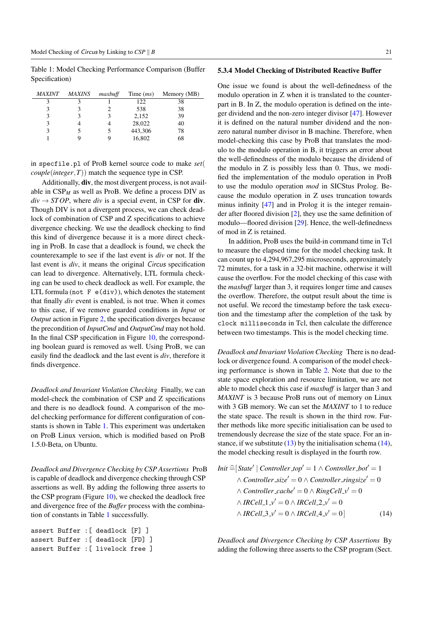Table 1: Model Checking Performance Comparison (Buffer Specification)

| <b>MAXINT</b> | <i>MAXINS</i> | maxbuff | Time $(ms)$ | Memory (MB) |
|---------------|---------------|---------|-------------|-------------|
| 3             |               |         | 122         | 38          |
| 3             |               |         | 538         | 38          |
| 3             |               |         | 2,152       | 39          |
| 3             |               |         | 28,022      | 40          |
| 3             |               |         | 443,306     | 78          |
|               |               |         | 16,802      | 58          |

in specfile.pl of ProB kernel source code to make *set*( *couple*(*integer*, $T$ )) match the sequence type in CSP.

Additionally, div, the most divergent process, is not available in  $CSP_M$  as well as ProB. We define a process DIV as  $div \rightarrow STOP$ , where *div* is a special event, in CSP for **div**. Though DIV is not a divergent process, we can check deadlock of combination of CSP and Z specifications to achieve divergence checking. We use the deadlock checking to find this kind of divergence because it is a more direct checking in ProB. In case that a deadlock is found, we check the counterexample to see if the last event is *div* or not. If the last event is *div*, it means the original Circus specification can lead to divergence. Alternatively, LTL formula checking can be used to check deadlock as well. For example, the LTL formula (not  $F e(div)$ ), which denotes the statement that finally *div* event is enabled, is not true. When it comes to this case, if we remove guarded conditions in *Input* or *Output* action in Figure 2, the specification diverges because the precondition of *InputCmd* and *OutputCmd* may not hold. In the final CSP specification in Figure 10, the corresponding boolean guard is removed as well. Using ProB, we can easily find the deadlock and the last event is *div*, therefore it finds divergence.

*Deadlock and Invariant Violation Checking* Finally, we can model-check the combination of CSP and Z specifications and there is no deadlock found. A comparison of the model checking performance for different configuration of constants is shown in Table 1. This experiment was undertaken on ProB Linux version, which is modified based on ProB 1.5.0-Beta, on Ubuntu.

*Deadlock and Divergence Checking by CSP Assertions* ProB is capable of deadlock and divergence checking through CSP assertions as well. By adding the following three asserts to the CSP program (Figure  $10$ ), we checked the deadlock free and divergence free of the *Buffer* process with the combination of constants in Table 1 successfully.

assert Buffer :[ deadlock [F] ] assert Buffer :[ deadlock [FD] ] assert Buffer :[ livelock free ]

# 5.3.4 Model Checking of Distributed Reactive Buffer

One issue we found is about the well-definedness of the modulo operation in Z when it is translated to the counterpart in B. In Z, the modulo operation is defined on the integer dividend and the non-zero integer divisor [47]. However it is defined on the natural number dividend and the nonzero natural number divisor in B machine. Therefore, when model-checking this case by ProB that translates the modulo to the modulo operation in B, it triggers an error about the well-definedness of the modulo because the dividend of the modulo in Z is possibly less than 0. Thus, we modified the implementation of the modulo operation in ProB to use the modulo operation *mod* in SICStus Prolog. Because the modulo operation in Z uses truncation towards minus infinity [47] and in Prolog it is the integer remainder after floored division [2], they use the same definition of modulo—floored division [29]. Hence, the well-definedness of mod in Z is retained.

In addition, ProB uses the build-in command time in Tcl to measure the elapsed time for the model checking task. It can count up to 4,294,967,295 microseconds, approximately 72 minutes, for a task in a 32-bit machine, otherwise it will cause the overflow. For the model checking of this case with the *maxbuff* larger than 3, it requires longer time and causes the overflow. Therefore, the output result about the time is not useful. We record the timestamp before the task execution and the timestamp after the completion of the task by clock milliseconds in Tcl, then calculate the difference between two timestamps. This is the model checking time.

*Deadlock and Invariant Violation Checking* There is no deadlock or divergence found. A comparison of the model checking performance is shown in Table 2. Note that due to the state space exploration and resource limitation, we are not able to model check this case if *maxbuff* is larger than 3 and *MAXINT* is 3 because ProB runs out of memory on Linux with 3 GB memory. We can set the *MAXINT* to 1 to reduce the state space. The result is shown in the third row. Further methods like more specific initialisation can be used to tremendously decrease the size of the state space. For an instance, if we substitute  $(13)$  by the initialisation schema  $(14)$ , the model checking result is displayed in the fourth row.

*Init* 
$$
\widehat{=}
$$
 [*State'* | *Controller\_top'* = 1 ∧ *Controller\_to*' = 1  
 ∧ *Controller\_size'* = 0 ∧ *Controller\_ringsize'* = 0  
 ∧ *Controller.cache'* = 0 ∧ *RingCell\_v'* = 0  
 ∧ *IRCell\_1\_v'* = 0 ∧ *IRCell\_2\_v'* = 0  
 ∧ *IRCell\_3\_v'* = 0 ∧ *IRCell\_4\_v'* = 0] (14)

*Deadlock and Divergence Checking by CSP Assertions* By adding the following three asserts to the CSP program (Sect.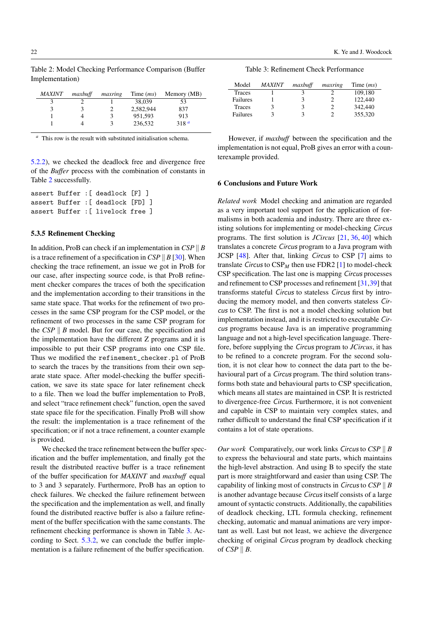| <b>MAXINT</b> | maxbuff | maxring | Time $(ms)$ | Memory (MB)      |
|---------------|---------|---------|-------------|------------------|
|               |         |         | 38,039      | 53               |
|               | 3       |         | 2,582,944   | 837              |
|               |         |         | 951,593     | 913              |
|               |         |         | 236,532     | 318 <sup>a</sup> |

Table 2: Model Checking Performance Comparison (Buffer Implementation)

This row is the result with substituted initialisation schema.

5.2.2), we checked the deadlock free and divergence free of the *Buffer* process with the combination of constants in Table 2 successfully.

assert Buffer :[ deadlock [F] ] assert Buffer :[ deadlock [FD] ] assert Buffer :[ livelock free ]

### 5.3.5 Refinement Checking

In addition, ProB can check if an implementation in  $CSP \parallel B$ is a trace refinement of a specification in  $CSP \parallel B [30]$ . When checking the trace refinement, an issue we got in ProB for our case, after inspecting source code, is that ProB refinement checker compares the traces of both the specification and the implementation according to their transitions in the same state space. That works for the refinement of two processes in the same CSP program for the CSP model, or the refinement of two processes in the same CSP program for the  $CSP \parallel B$  model. But for our case, the specification and the implementation have the different Z programs and it is impossible to put their CSP programs into one CSP file. Thus we modified the refinement\_checker.pl of ProB to search the traces by the transitions from their own separate state space. After model-checking the buffer specification, we save its state space for later refinement check to a file. Then we load the buffer implementation to ProB, and select "trace refinement check" function, open the saved state space file for the specification. Finally ProB will show the result: the implementation is a trace refinement of the specification; or if not a trace refinement, a counter example is provided.

We checked the trace refinement between the buffer specification and the buffer implementation, and finally got the result the distributed reactive buffer is a trace refinement of the buffer specification for *MAXINT* and *maxbuff* equal to 3 and 3 separately. Furthermore, ProB has an option to check failures. We checked the failure refinement between the specification and the implementation as well, and finally found the distributed reactive buffer is also a failure refinement of the buffer specification with the same constants. The refinement checking performance is shown in Table 3. According to Sect. 5.3.2, we can conclude the buffer implementation is a failure refinement of the buffer specification.

Table 3: Refinement Check Performance

| Model    | <b>MAXINT</b> | maxbuff | maxring | Time $(ms)$ |
|----------|---------------|---------|---------|-------------|
| Traces   |               | 3       |         | 109.180     |
| Failures |               | 3       |         | 122,440     |
| Traces   |               | 3       |         | 342,440     |
| Failures |               | 3       |         | 355,320     |

However, if *maxbuff* between the specification and the implementation is not equal, ProB gives an error with a counterexample provided.

# 6 Conclusions and Future Work

*Related work* Model checking and animation are regarded as a very important tool support for the application of formalisms in both academia and industry. There are three existing solutions for implementing or model-checking Circus programs. The first solution is *JCircus* [21, 36, 40] which translates a concrete Circus program to a Java program with JCSP [48]. After that, linking Circus to CSP [7] aims to translate Circus to  $CSP_M$  then use FDR2 [1] to model-check CSP specification. The last one is mapping Circus processes and refinement to CSP processes and refinement [31,39] that transforms stateful Circus to stateless Circus first by introducing the memory model, and then converts stateless Circus to CSP. The first is not a model checking solution but implementation instead, and it is restricted to executable Circus programs because Java is an imperative programming language and not a high-level specification language. Therefore, before supplying the Circus program to *JCircus*, it has to be refined to a concrete program. For the second solution, it is not clear how to connect the data part to the behavioural part of a Circus program. The third solution transforms both state and behavioural parts to CSP specification, which means all states are maintained in CSP. It is restricted to divergence-free Circus. Furthermore, it is not convenient and capable in CSP to maintain very complex states, and rather difficult to understand the final CSP specification if it contains a lot of state operations.

*Our work* Comparatively, our work links Circus to  $CSP \parallel B$ to express the behavioural and state parts, which maintains the high-level abstraction. And using B to specify the state part is more straightforward and easier than using CSP. The capability of linking most of constructs in *Circus* to *CSP*  $\parallel$  *B* is another advantage because Circus itself consists of a large amount of syntactic constructs. Additionally, the capabilities of deadlock checking, LTL formula checking, refinement checking, automatic and manual animations are very important as well. Last but not least, we achieve the divergence checking of original Circus program by deadlock checking of  $CSP \parallel B$ .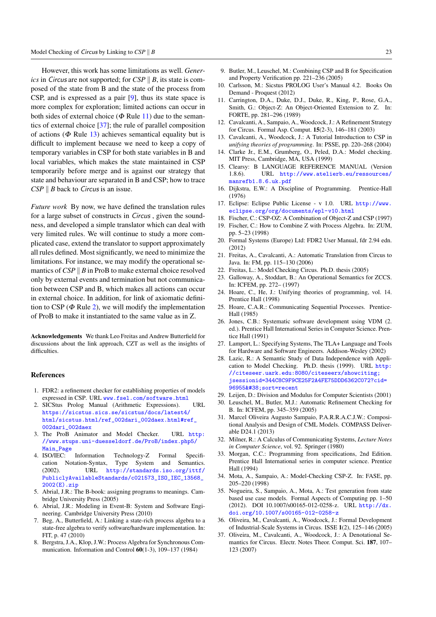However, this work has some limitations as well. *Generics* in *Circus* are not supported; for *CSP*  $\parallel$  *B*, its state is composed of the state from B and the state of the process from CSP, and is expressed as a pair [9], thus its state space is more complex for exploration; limited actions can occur in both sides of external choice ( $\Phi$  Rule 11) due to the semantics of external choice [37]; the rule of parallel composition of actions ( $\Phi$  Rule 13) achieves semantical equality but is difficult to implement because we need to keep a copy of temporary variables in CSP for both state variables in B and local variables, which makes the state maintained in CSP temporarily before merge and is against our strategy that state and behaviour are separated in B and CSP; how to trace *CSP*  $\parallel$  *B* back to *Circus* is an issue.

*Future work* By now, we have defined the translation rules for a large subset of constructs in Circus , given the soundness, and developed a simple translator which can deal with very limited rules. We will continue to study a more complicated case, extend the translator to support approximately all rules defined. Most significantly, we need to minimize the limitations. For instance, we may modify the operational semantics of  $CSP \parallel B$  in ProB to make external choice resolved only by external events and termination but not communication between CSP and B, which makes all actions can occur in external choice. In addition, for link of axiomatic definition to CSP ( $\Phi$  Rule 2), we will modify the implementation of ProB to make it instantiated to the same value as in Z.

Acknowledgements We thank Leo Freitas and Andrew Butterfield for discussions about the link approach, CZT as well as the insights of difficulties.

#### References

- 1. FDR2: a refinement checker for establishing properties of models expressed in CSP. URL www.fsel.com/software.html
- 2. SICStus Prolog Manual (Arithmetic Expressions). URL https://sicstus.sics.se/sicstus/docs/latest4/ html/sicstus.html/ref\_002dari\_002daex.html#ref\_ 002dari\_002daex
- 3. The ProB Animator and Model Checker. URL http: //www.stups.uni-duesseldorf.de/ProB/index.php5/ Main\_Page
- 4. ISO/IEC: Information Technology-Z Formal Specification Notation-Syntax, Type System and Semantics. (2002). URL http://standards.iso.org/ittf/ PubliclyAvailableStandards/c021573\_ISO\_IEC\_13568\_ 2002(E).zip
- 5. Abrial, J.R.: The B-book: assigning programs to meanings. Cambridge University Press (2005)
- 6. Abrial, J.R.: Modeling in Event-B: System and Software Engineering. Cambridge University Press (2010)
- 7. Beg, A., Butterfield, A.: Linking a state-rich process algebra to a state-free algebra to verify software/hardware implementation. In: FIT, p. 47 (2010)
- 8. Bergstra, J.A., Klop, J.W.: Process Algebra for Synchronous Communication. Information and Control 60(1-3), 109–137 (1984)
- 9. Butler, M., Leuschel, M.: Combining CSP and B for Specification and Property Verification pp. 221–236 (2005)
- 10. Carlsson, M.: Sicstus PROLOG User's Manual 4.2. Books On Demand - Proquest (2012)
- 11. Carrington, D.A., Duke, D.J., Duke, R., King, P., Rose, G.A., Smith, G.: Object-Z: An Object-Oriented Extension to Z. In: FORTE, pp. 281–296 (1989)
- 12. Cavalcanti, A., Sampaio, A., Woodcock, J.: A Refinement Strategy for Circus. Formal Asp. Comput. 15(2-3), 146–181 (2003)
- 13. Cavalcanti, A., Woodcock, J.: A Tutorial Introduction to CSP in *unifying theories of programming*. In: PSSE, pp. 220–268 (2004)
- Clarke Jr., E.M., Grumberg, O., Peled, D.A.: Model checking. MIT Press, Cambridge, MA, USA (1999)
- 15. Clearsy: B LANGUAGE REFERENCE MANUAL (Version 1.8.6). URL http://www.atelierb.eu/ressources/ manrefb1.8.6.uk.pdf
- 16. Dijkstra, E.W.: A Discipline of Programming. Prentice-Hall (1976)
- 17. Eclipse: Eclipse Public License v 1.0. URL http://www. eclipse.org/org/documents/epl-v10.html
- 18. Fischer, C.: CSP-OZ: A Combination of Object-Z and CSP (1997)
- 19. Fischer, C.: How to Combine Z with Process Algebra. In: ZUM, pp. 5–23 (1998)
- 20. Formal Systems (Europe) Ltd: FDR2 User Manual, fdr 2.94 edn. (2012)
- 21. Freitas, A., Cavalcanti, A.: Automatic Translation from Circus to Java. In: FM, pp. 115–130 (2006)
- 22. Freitas, L.: Model Checking Circus. Ph.D. thesis (2005)
- 23. Galloway, A., Stoddart, B.: An Operational Semantics for ZCCS. In: ICFEM, pp. 272– (1997)
- 24. Hoare, C., He, J.: Unifying theories of programming, vol. 14. Prentice Hall (1998)
- 25. Hoare, C.A.R.: Communicating Sequential Processes. Prentice-Hall (1985)
- 26. Jones, C.B.: Systematic software development using VDM (2. ed.). Prentice Hall International Series in Computer Science. Prentice Hall (1991)
- 27. Lamport, L.: Specifying Systems, The TLA+ Language and Tools for Hardware and Software Engineers. Addison-Wesley (2002)
- 28. Lazic, R.: A Semantic Study of Data Independence with Application to Model Checking. Ph.D. thesis (1999). URL http: //citeseer.uark.edu:8080/citeseerx/showciting; jsessionid=344C8C9F9CE25F2A4FE75DDD6362C072?cid= 96955& sort=recent
- 29. Leijen, D.: Division and Modulus for Computer Scientists (2001)
- 30. Leuschel, M., Butler, M.J.: Automatic Refinement Checking for B. In: ICFEM, pp. 345–359 (2005)
- 31. Marcel Oliveira Augusto Sampaio, P.A.R.R.A.C.J.W.: Compositional Analysis and Design of CML Models. COMPASS Deliverable D24.1 (2013)
- 32. Milner, R.: A Calculus of Communicating Systems, *Lecture Notes in Computer Science*, vol. 92. Springer (1980)
- 33. Morgan, C.C.: Programming from specifications, 2nd Edition. Prentice Hall International series in computer science. Prentice Hall (1994)
- 34. Mota, A., Sampaio, A.: Model-Checking CSP-Z. In: FASE, pp. 205–220 (1998)
- 35. Nogueira, S., Sampaio, A., Mota, A.: Test generation from state based use case models. Formal Aspects of Computing pp. 1–50 (2012). DOI 10.1007/s00165-012-0258-z. URL http://dx. doi.org/10.1007/s00165-012-0258-z
- 36. Oliveira, M., Cavalcanti, A., Woodcock, J.: Formal Development of Industrial-Scale Systems in Circus. ISSE 1(2), 125–146 (2005)
- 37. Oliveira, M., Cavalcanti, A., Woodcock, J.: A Denotational Semantics for Circus. Electr. Notes Theor. Comput. Sci. 187, 107– 123 (2007)